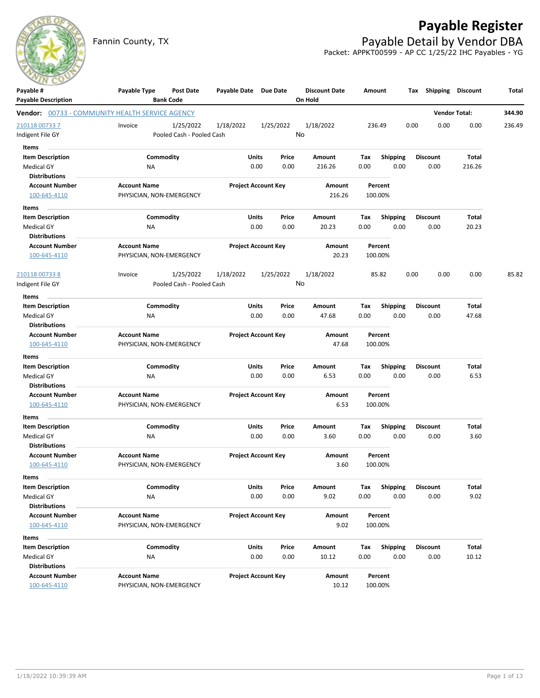

**Payable # Payable Type Post Date Payable Date Due Date**

# **Payable Register**

Fannin County, TX **Payable Detail by Vendor DBA** Packet: APPKT00599 - AP CC 1/25/22 IHC Payables - YG

**Discount Date Amount Tax Shipping Discount Total**

|                            |                           | Fanni |
|----------------------------|---------------------------|-------|
| Payable #                  |                           |       |
| <b>Payable Description</b> |                           |       |
|                            | Vendor: 00733 - COMMUNITY |       |

| <b>Payable Description</b> | <b>Bank Code</b>                                       |                            |           | On Hold   |         |                 |                 |                      |        |
|----------------------------|--------------------------------------------------------|----------------------------|-----------|-----------|---------|-----------------|-----------------|----------------------|--------|
|                            | <b>Vendor:</b> 00733 - COMMUNITY HEALTH SERVICE AGENCY |                            |           |           |         |                 |                 | <b>Vendor Total:</b> | 344.90 |
| 210118 00733 7             | 1/25/2022<br>Invoice                                   | 1/18/2022                  | 1/25/2022 | 1/18/2022 | 236.49  |                 | 0.00<br>0.00    | 0.00                 | 236.49 |
| Indigent File GY           | Pooled Cash - Pooled Cash                              |                            | No        |           |         |                 |                 |                      |        |
| Items                      |                                                        |                            |           |           |         |                 |                 |                      |        |
| <b>Item Description</b>    | Commodity                                              | Units                      | Price     | Amount    | Tax     | Shipping        | <b>Discount</b> | Total                |        |
| <b>Medical GY</b>          | ΝA                                                     | 0.00                       | 0.00      | 216.26    | 0.00    | 0.00            | 0.00            | 216.26               |        |
| <b>Distributions</b>       |                                                        |                            |           |           |         |                 |                 |                      |        |
| <b>Account Number</b>      | <b>Account Name</b>                                    | <b>Project Account Key</b> |           | Amount    | Percent |                 |                 |                      |        |
| 100-645-4110               | PHYSICIAN, NON-EMERGENCY                               |                            |           | 216.26    | 100.00% |                 |                 |                      |        |
| Items                      |                                                        |                            |           |           |         |                 |                 |                      |        |
| <b>Item Description</b>    | Commodity                                              | Units                      | Price     | Amount    | Tax     | <b>Shipping</b> | Discount        | Total                |        |
| <b>Medical GY</b>          | NA                                                     | 0.00                       | 0.00      | 20.23     | 0.00    | 0.00            | 0.00            | 20.23                |        |
| <b>Distributions</b>       |                                                        |                            |           |           |         |                 |                 |                      |        |
| <b>Account Number</b>      | <b>Account Name</b>                                    | <b>Project Account Key</b> |           | Amount    | Percent |                 |                 |                      |        |
| 100-645-4110               | PHYSICIAN, NON-EMERGENCY                               |                            |           | 20.23     | 100.00% |                 |                 |                      |        |
|                            |                                                        |                            |           |           |         |                 |                 |                      |        |
| <u>210118 00733 8</u>      | 1/25/2022<br>Invoice                                   | 1/18/2022                  | 1/25/2022 | 1/18/2022 | 85.82   |                 | 0.00<br>0.00    | 0.00                 | 85.82  |
| Indigent File GY           | Pooled Cash - Pooled Cash                              |                            | No        |           |         |                 |                 |                      |        |
| Items                      |                                                        |                            |           |           |         |                 |                 |                      |        |
| <b>Item Description</b>    | Commodity                                              | Units                      | Price     | Amount    | Тах     | <b>Shipping</b> | Discount        | Total                |        |
| <b>Medical GY</b>          | ΝA                                                     | 0.00                       | 0.00      | 47.68     | 0.00    | 0.00            | 0.00            | 47.68                |        |
| <b>Distributions</b>       |                                                        |                            |           |           |         |                 |                 |                      |        |
| <b>Account Number</b>      | <b>Account Name</b>                                    | <b>Project Account Key</b> |           | Amount    | Percent |                 |                 |                      |        |
| 100-645-4110               | PHYSICIAN, NON-EMERGENCY                               |                            |           | 47.68     | 100.00% |                 |                 |                      |        |
| Items                      |                                                        |                            |           |           |         |                 |                 |                      |        |
| <b>Item Description</b>    | Commodity                                              | <b>Units</b>               | Price     | Amount    | Tax     | <b>Shipping</b> | <b>Discount</b> | Total                |        |
| <b>Medical GY</b>          | ΝA                                                     | 0.00                       | 0.00      | 6.53      | 0.00    | 0.00            | 0.00            | 6.53                 |        |
| <b>Distributions</b>       |                                                        |                            |           |           |         |                 |                 |                      |        |
| <b>Account Number</b>      | <b>Account Name</b>                                    | <b>Project Account Key</b> |           | Amount    | Percent |                 |                 |                      |        |
| 100-645-4110               | PHYSICIAN, NON-EMERGENCY                               |                            |           | 6.53      | 100.00% |                 |                 |                      |        |
| Items                      |                                                        |                            |           |           |         |                 |                 |                      |        |
| <b>Item Description</b>    | Commodity                                              | Units                      | Price     | Amount    | Tax     | <b>Shipping</b> | <b>Discount</b> | Total                |        |
| <b>Medical GY</b>          | <b>NA</b>                                              | 0.00                       | 0.00      | 3.60      | 0.00    | 0.00            | 0.00            | 3.60                 |        |
| <b>Distributions</b>       |                                                        |                            |           |           |         |                 |                 |                      |        |
| <b>Account Number</b>      | <b>Account Name</b>                                    | <b>Project Account Key</b> |           | Amount    | Percent |                 |                 |                      |        |
| 100-645-4110               | PHYSICIAN, NON-EMERGENCY                               |                            |           | 3.60      | 100.00% |                 |                 |                      |        |
| Items                      |                                                        |                            |           |           |         |                 |                 |                      |        |
| <b>Item Description</b>    | Commodity                                              | Units                      | Price     | Amount    | Tax     | <b>Shipping</b> | <b>Discount</b> | Total                |        |
| <b>Medical GY</b>          | NA                                                     | 0.00                       | 0.00      | 9.02      | 0.00    | 0.00            | 0.00            | 9.02                 |        |
| <b>Distributions</b>       |                                                        |                            |           |           |         |                 |                 |                      |        |
| <b>Account Number</b>      | <b>Account Name</b>                                    | <b>Project Account Key</b> |           | Amount    | Percent |                 |                 |                      |        |
| 100-645-4110               | PHYSICIAN, NON-EMERGENCY                               |                            |           | 9.02      | 100.00% |                 |                 |                      |        |
| Items                      |                                                        |                            |           |           |         |                 |                 |                      |        |
| <b>Item Description</b>    | Commodity                                              | Units                      | Price     | Amount    | Tax     | Shipping        | <b>Discount</b> | Total                |        |
| <b>Medical GY</b>          | <b>NA</b>                                              | 0.00                       | 0.00      | 10.12     | 0.00    | 0.00            | 0.00            | 10.12                |        |
| <b>Distributions</b>       |                                                        |                            |           |           |         |                 |                 |                      |        |
| <b>Account Number</b>      | <b>Account Name</b>                                    | <b>Project Account Key</b> |           | Amount    | Percent |                 |                 |                      |        |
| 100-645-4110               | PHYSICIAN, NON-EMERGENCY                               |                            |           | 10.12     | 100.00% |                 |                 |                      |        |
|                            |                                                        |                            |           |           |         |                 |                 |                      |        |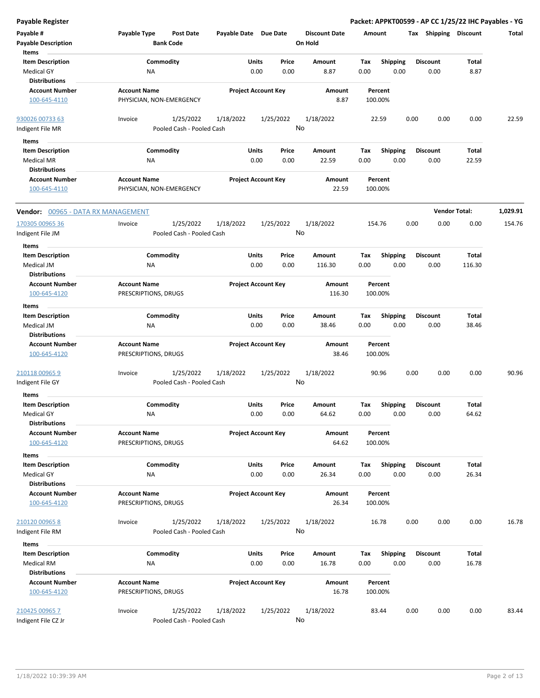| Payable #<br><b>Payable Description</b><br>Items                       | Payable Type<br>Post Date<br><b>Bank Code</b>   | Payable Date Due Date                  |                                | <b>Discount Date</b><br>On Hold | Amount                                 | Tax Shipping            | <b>Discount</b> | Total    |
|------------------------------------------------------------------------|-------------------------------------------------|----------------------------------------|--------------------------------|---------------------------------|----------------------------------------|-------------------------|-----------------|----------|
| <b>Item Description</b><br><b>Medical GY</b><br><b>Distributions</b>   | Commodity<br>ΝA                                 |                                        | Units<br>Price<br>0.00<br>0.00 | Amount<br>8.87                  | <b>Shipping</b><br>Tax<br>0.00<br>0.00 | Discount<br>0.00        | Total<br>8.87   |          |
| <b>Account Number</b><br>100-645-4110                                  | <b>Account Name</b><br>PHYSICIAN, NON-EMERGENCY |                                        | <b>Project Account Key</b>     | Amount<br>8.87                  | Percent<br>100.00%                     |                         |                 |          |
| 930026 00733 63<br>Indigent File MR                                    | 1/25/2022<br>Invoice                            | 1/18/2022<br>Pooled Cash - Pooled Cash | 1/25/2022                      | 1/18/2022<br>No                 | 22.59                                  | 0.00<br>0.00            | 0.00            | 22.59    |
| Items<br><b>Item Description</b><br>Medical MR<br><b>Distributions</b> | Commodity<br>NA                                 |                                        | Units<br>Price<br>0.00<br>0.00 | Amount<br>22.59                 | <b>Shipping</b><br>Tax<br>0.00<br>0.00 | <b>Discount</b><br>0.00 | Total<br>22.59  |          |
| <b>Account Number</b><br>100-645-4110                                  | <b>Account Name</b><br>PHYSICIAN, NON-EMERGENCY |                                        | <b>Project Account Key</b>     | Amount<br>22.59                 | Percent<br>100.00%                     |                         |                 |          |
| Vendor: 00965 - DATA RX MANAGEMENT                                     |                                                 |                                        |                                |                                 |                                        | <b>Vendor Total:</b>    |                 | 1,029.91 |
| 170305 00965 36<br>Indigent File JM                                    | 1/25/2022<br>Invoice                            | 1/18/2022<br>Pooled Cash - Pooled Cash | 1/25/2022                      | 1/18/2022<br>No                 | 154.76                                 | 0.00<br>0.00            | 0.00            | 154.76   |
| Items<br><b>Item Description</b><br>Medical JM<br><b>Distributions</b> | Commodity<br>ΝA                                 |                                        | Units<br>Price<br>0.00<br>0.00 | Amount<br>116.30                | <b>Shipping</b><br>Tax<br>0.00<br>0.00 | <b>Discount</b><br>0.00 | Total<br>116.30 |          |
| <b>Account Number</b><br>100-645-4120                                  | <b>Account Name</b><br>PRESCRIPTIONS, DRUGS     |                                        | <b>Project Account Key</b>     | Amount<br>116.30                | Percent<br>100.00%                     |                         |                 |          |
| Items<br><b>Item Description</b><br>Medical JM                         | Commodity<br>NA                                 |                                        | Units<br>Price<br>0.00<br>0.00 | Amount<br>38.46                 | <b>Shipping</b><br>Tax<br>0.00<br>0.00 | Discount<br>0.00        | Total<br>38.46  |          |
| <b>Distributions</b><br><b>Account Number</b><br>100-645-4120          | <b>Account Name</b><br>PRESCRIPTIONS, DRUGS     |                                        | <b>Project Account Key</b>     | Amount<br>38.46                 | Percent<br>100.00%                     |                         |                 |          |
| 210118 00965 9<br>Indigent File GY                                     | 1/25/2022<br>Invoice                            | 1/18/2022<br>Pooled Cash - Pooled Cash | 1/25/2022                      | 1/18/2022<br>No                 | 90.96                                  | 0.00<br>0.00            | 0.00            | 90.96    |
| Items                                                                  |                                                 |                                        |                                |                                 |                                        |                         |                 |          |
| <b>Item Description</b><br><b>Medical GY</b><br><b>Distributions</b>   | Commodity<br><b>NA</b>                          |                                        | Units<br>Price<br>0.00<br>0.00 | Amount<br>64.62                 | Shipping<br>Tax<br>0.00<br>0.00        | <b>Discount</b><br>0.00 | Total<br>64.62  |          |
| <b>Account Number</b><br>100-645-4120                                  | <b>Account Name</b><br>PRESCRIPTIONS, DRUGS     |                                        | <b>Project Account Key</b>     | Amount<br>64.62                 | Percent<br>100.00%                     |                         |                 |          |
| Items<br><b>Item Description</b><br>Medical GY                         | Commodity<br>NA                                 |                                        | Units<br>Price<br>0.00<br>0.00 | Amount<br>26.34                 | <b>Shipping</b><br>Tax<br>0.00<br>0.00 | <b>Discount</b><br>0.00 | Total<br>26.34  |          |
| <b>Distributions</b><br><b>Account Number</b><br>100-645-4120          | <b>Account Name</b><br>PRESCRIPTIONS, DRUGS     |                                        | <b>Project Account Key</b>     | Amount<br>26.34                 | Percent<br>100.00%                     |                         |                 |          |
| 210120 00965 8<br>Indigent File RM                                     | 1/25/2022<br>Invoice                            | 1/18/2022<br>Pooled Cash - Pooled Cash | 1/25/2022                      | 1/18/2022<br>No                 | 16.78                                  | 0.00<br>0.00            | 0.00            | 16.78    |
| Items<br><b>Item Description</b><br>Medical RM<br><b>Distributions</b> | Commodity<br>ΝA                                 |                                        | Units<br>Price<br>0.00<br>0.00 | Amount<br>16.78                 | <b>Shipping</b><br>Tax<br>0.00<br>0.00 | <b>Discount</b><br>0.00 | Total<br>16.78  |          |
| <b>Account Number</b><br>100-645-4120                                  | <b>Account Name</b><br>PRESCRIPTIONS, DRUGS     |                                        | <b>Project Account Key</b>     | Amount<br>16.78                 | Percent<br>100.00%                     |                         |                 |          |
| 210425 00965 7<br>Indigent File CZ Jr                                  | 1/25/2022<br>Invoice                            | 1/18/2022<br>Pooled Cash - Pooled Cash | 1/25/2022                      | 1/18/2022<br>No                 | 83.44                                  | 0.00<br>0.00            | 0.00            | 83.44    |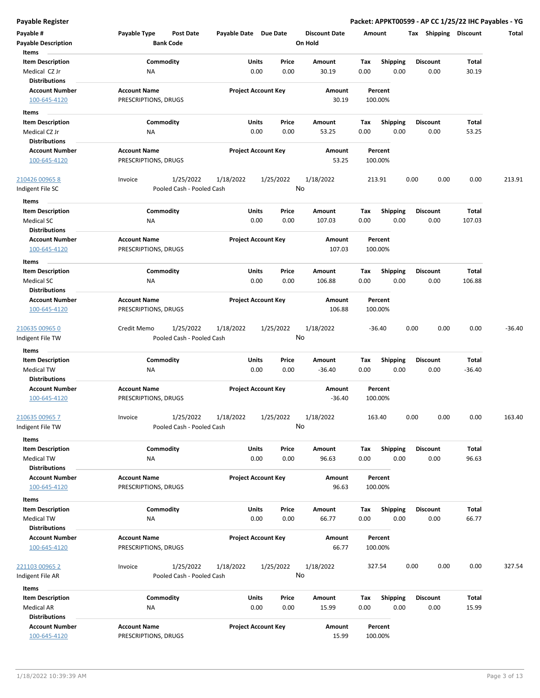| Payable #                                     | Payable Type<br>Post Date | Payable Date Due Date     |                            | <b>Discount Date</b> | Amount                 |      | Shipping<br>Tax | <b>Discount</b> | Total    |
|-----------------------------------------------|---------------------------|---------------------------|----------------------------|----------------------|------------------------|------|-----------------|-----------------|----------|
| <b>Payable Description</b>                    | <b>Bank Code</b>          |                           |                            | On Hold              |                        |      |                 |                 |          |
| Items                                         |                           |                           |                            |                      |                        |      |                 |                 |          |
| <b>Item Description</b>                       | Commodity                 |                           | Units<br>Price             | Amount               | Tax<br><b>Shipping</b> |      | <b>Discount</b> | Total           |          |
| Medical CZ Jr                                 | ΝA                        |                           | 0.00<br>0.00               | 30.19                | 0.00                   | 0.00 | 0.00            | 30.19           |          |
| <b>Distributions</b><br><b>Account Number</b> | <b>Account Name</b>       |                           | <b>Project Account Key</b> | Amount               | Percent                |      |                 |                 |          |
| 100-645-4120                                  | PRESCRIPTIONS, DRUGS      |                           |                            | 30.19                | 100.00%                |      |                 |                 |          |
| Items                                         |                           |                           |                            |                      |                        |      |                 |                 |          |
| <b>Item Description</b>                       | Commodity                 |                           | Units<br>Price             | Amount               | Shipping<br>Tax        |      | <b>Discount</b> | Total           |          |
| Medical CZ Jr                                 | ΝA                        |                           | 0.00<br>0.00               | 53.25                | 0.00                   | 0.00 | 0.00            | 53.25           |          |
| <b>Distributions</b>                          |                           |                           |                            |                      |                        |      |                 |                 |          |
| <b>Account Number</b>                         | <b>Account Name</b>       |                           | <b>Project Account Key</b> | Amount               | Percent                |      |                 |                 |          |
| 100-645-4120                                  | PRESCRIPTIONS, DRUGS      |                           |                            | 53.25                | 100.00%                |      |                 |                 |          |
| 210426 00965 8                                | 1/25/2022<br>Invoice      | 1/18/2022                 | 1/25/2022                  | 1/18/2022            | 213.91                 | 0.00 | 0.00            | 0.00            | 213.91   |
| ndigent File SC                               |                           | Pooled Cash - Pooled Cash |                            | No                   |                        |      |                 |                 |          |
| Items                                         |                           |                           |                            |                      |                        |      |                 |                 |          |
| <b>Item Description</b>                       | Commodity                 |                           | Units<br>Price             | Amount               | <b>Shipping</b><br>Tax |      | <b>Discount</b> | Total           |          |
| <b>Medical SC</b>                             | <b>NA</b>                 |                           | 0.00<br>0.00               | 107.03               | 0.00                   | 0.00 | 0.00            | 107.03          |          |
| <b>Distributions</b>                          |                           |                           |                            |                      |                        |      |                 |                 |          |
| <b>Account Number</b>                         | <b>Account Name</b>       |                           | <b>Project Account Key</b> | Amount               | Percent                |      |                 |                 |          |
| 100-645-4120                                  | PRESCRIPTIONS, DRUGS      |                           |                            | 107.03               | 100.00%                |      |                 |                 |          |
| Items                                         |                           |                           |                            |                      |                        |      |                 |                 |          |
| <b>Item Description</b>                       | Commodity                 |                           | Units<br>Price             | Amount               | Tax<br><b>Shipping</b> |      | <b>Discount</b> | Total           |          |
| <b>Medical SC</b>                             | NA                        |                           | 0.00<br>0.00               | 106.88               | 0.00                   | 0.00 | 0.00            | 106.88          |          |
| <b>Distributions</b>                          |                           |                           |                            |                      |                        |      |                 |                 |          |
| <b>Account Number</b>                         | <b>Account Name</b>       |                           | <b>Project Account Key</b> | Amount               | Percent                |      |                 |                 |          |
| 100-645-4120                                  | PRESCRIPTIONS, DRUGS      |                           |                            | 106.88               | 100.00%                |      |                 |                 |          |
| 210635 00965 0                                | 1/25/2022<br>Credit Memo  | 1/18/2022                 | 1/25/2022                  | 1/18/2022            | $-36.40$               | 0.00 | 0.00            | 0.00            | $-36.40$ |
| Indigent File TW                              |                           | Pooled Cash - Pooled Cash |                            | No                   |                        |      |                 |                 |          |
| Items                                         |                           |                           |                            |                      |                        |      |                 |                 |          |
| <b>Item Description</b>                       | Commodity                 |                           | <b>Units</b><br>Price      | Amount               | Shipping<br>Tax        |      | <b>Discount</b> | Total           |          |
| <b>Medical TW</b>                             | ΝA                        |                           | 0.00<br>0.00               | $-36.40$             | 0.00                   | 0.00 | 0.00            | $-36.40$        |          |
| <b>Distributions</b>                          |                           |                           |                            |                      |                        |      |                 |                 |          |
| <b>Account Number</b>                         | <b>Account Name</b>       |                           | <b>Project Account Key</b> | Amount               | Percent                |      |                 |                 |          |
| 100-645-4120                                  | PRESCRIPTIONS, DRUGS      |                           |                            | $-36.40$             | 100.00%                |      |                 |                 |          |
| 210635 00965 7                                | 1/25/2022<br>Invoice      | 1/18/2022                 | 1/25/2022                  | 1/18/2022            | 163.40                 | 0.00 | 0.00            | 0.00            | 163.40   |
| Indigent File TW                              |                           | Pooled Cash - Pooled Cash |                            | No                   |                        |      |                 |                 |          |
| Items                                         |                           |                           |                            |                      |                        |      |                 |                 |          |
| <b>Item Description</b>                       | Commodity                 |                           | Units<br>Price             | Amount               | Tax<br>Shipping        |      | <b>Discount</b> | Total           |          |
| <b>Medical TW</b>                             | <b>NA</b>                 |                           | 0.00<br>0.00               | 96.63                | 0.00                   | 0.00 | 0.00            | 96.63           |          |
| <b>Distributions</b>                          |                           |                           |                            |                      |                        |      |                 |                 |          |
| <b>Account Number</b>                         | <b>Account Name</b>       |                           | <b>Project Account Key</b> | Amount               | Percent                |      |                 |                 |          |
| 100-645-4120                                  | PRESCRIPTIONS, DRUGS      |                           |                            | 96.63                | 100.00%                |      |                 |                 |          |
| Items                                         |                           |                           |                            |                      |                        |      |                 |                 |          |
| <b>Item Description</b>                       | Commodity                 |                           | Units<br>Price             | Amount               | <b>Shipping</b><br>Tax |      | <b>Discount</b> | Total           |          |
| Medical TW<br><b>Distributions</b>            | NA                        |                           | 0.00<br>0.00               | 66.77                | 0.00                   | 0.00 | 0.00            | 66.77           |          |
| <b>Account Number</b>                         | <b>Account Name</b>       |                           | <b>Project Account Key</b> | Amount               | Percent                |      |                 |                 |          |
| 100-645-4120                                  | PRESCRIPTIONS, DRUGS      |                           |                            | 66.77                | 100.00%                |      |                 |                 |          |
|                                               |                           |                           |                            |                      |                        |      |                 |                 |          |
| 221103 00965 2                                | 1/25/2022<br>Invoice      | 1/18/2022                 | 1/25/2022                  | 1/18/2022            | 327.54                 | 0.00 | 0.00            | 0.00            | 327.54   |
| ndigent File AR                               |                           | Pooled Cash - Pooled Cash |                            | No                   |                        |      |                 |                 |          |
| Items                                         |                           |                           |                            |                      |                        |      |                 |                 |          |
| <b>Item Description</b>                       | Commodity                 |                           | Units<br>Price             | Amount               | <b>Shipping</b><br>Tax |      | <b>Discount</b> | Total           |          |
| <b>Medical AR</b>                             | NA                        |                           | 0.00<br>0.00               | 15.99                | 0.00                   | 0.00 | 0.00            | 15.99           |          |
| <b>Distributions</b>                          |                           |                           |                            |                      |                        |      |                 |                 |          |
| <b>Account Number</b>                         | <b>Account Name</b>       |                           | <b>Project Account Key</b> | Amount               | Percent                |      |                 |                 |          |
| 100-645-4120                                  | PRESCRIPTIONS, DRUGS      |                           |                            | 15.99                | 100.00%                |      |                 |                 |          |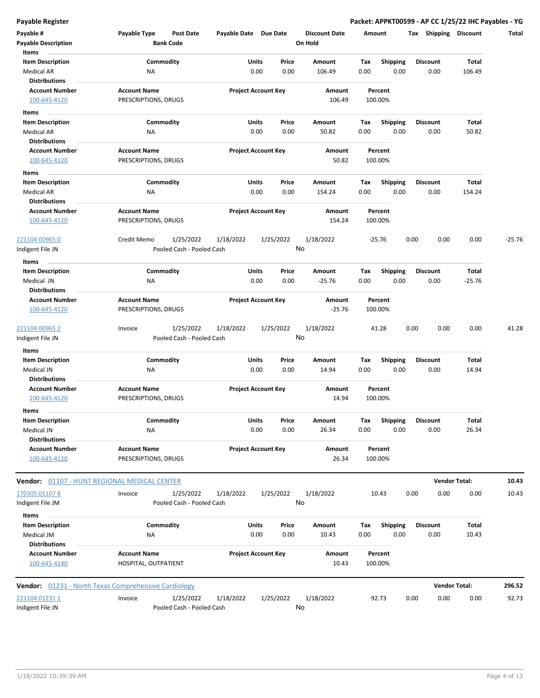| Payable #                             | Payable Type<br><b>Post Date</b>                     | Payable Date Due Date     |                            | <b>Discount Date</b> | Amount      |                  | Tax Shipping Discount |                      | Total    |
|---------------------------------------|------------------------------------------------------|---------------------------|----------------------------|----------------------|-------------|------------------|-----------------------|----------------------|----------|
| <b>Payable Description</b>            | <b>Bank Code</b>                                     |                           |                            | On Hold              |             |                  |                       |                      |          |
| Items                                 |                                                      |                           | <b>Units</b><br>Price      |                      |             |                  | <b>Discount</b>       | <b>Total</b>         |          |
| <b>Item Description</b><br>Medical AR | Commodity<br>ΝA                                      |                           | 0.00<br>0.00               | Amount<br>106.49     | Tax<br>0.00 | Shipping<br>0.00 | 0.00                  | 106.49               |          |
| <b>Distributions</b>                  |                                                      |                           |                            |                      |             |                  |                       |                      |          |
| <b>Account Number</b>                 | <b>Account Name</b>                                  |                           | <b>Project Account Key</b> | Amount               | Percent     |                  |                       |                      |          |
| 100-645-4120                          | PRESCRIPTIONS, DRUGS                                 |                           |                            | 106.49               | 100.00%     |                  |                       |                      |          |
| Items                                 |                                                      |                           |                            |                      |             |                  |                       |                      |          |
| <b>Item Description</b>               | Commodity                                            |                           | Units<br>Price             | Amount               | Tax         | <b>Shipping</b>  | <b>Discount</b>       | Total                |          |
| <b>Medical AR</b>                     | NA                                                   |                           | 0.00<br>0.00               | 50.82                | 0.00        | 0.00             | 0.00                  | 50.82                |          |
| <b>Distributions</b>                  |                                                      |                           |                            |                      |             |                  |                       |                      |          |
| <b>Account Number</b>                 | <b>Account Name</b>                                  |                           | <b>Project Account Key</b> | Amount               | Percent     |                  |                       |                      |          |
| 100-645-4120                          | PRESCRIPTIONS, DRUGS                                 |                           |                            | 50.82                | 100.00%     |                  |                       |                      |          |
| Items                                 |                                                      |                           |                            |                      |             |                  |                       |                      |          |
| <b>Item Description</b>               | Commodity                                            |                           | Units<br>Price             | Amount               | Tax         | <b>Shipping</b>  | <b>Discount</b>       | Total                |          |
| Medical AR                            | NA                                                   |                           | 0.00<br>0.00               | 154.24               | 0.00        | 0.00             | 0.00                  | 154.24               |          |
| <b>Distributions</b>                  |                                                      |                           |                            |                      |             |                  |                       |                      |          |
| <b>Account Number</b>                 | <b>Account Name</b>                                  |                           | <b>Project Account Key</b> | Amount               | Percent     |                  |                       |                      |          |
| 100-645-4120                          | PRESCRIPTIONS, DRUGS                                 |                           |                            | 154.24               | 100.00%     |                  |                       |                      |          |
| 221104 00965 0                        | Credit Memo<br>1/25/2022                             | 1/18/2022                 | 1/25/2022                  | 1/18/2022            | $-25.76$    |                  | 0.00<br>0.00          | 0.00                 | $-25.76$ |
| Indigent File JN                      |                                                      | Pooled Cash - Pooled Cash |                            | No                   |             |                  |                       |                      |          |
|                                       |                                                      |                           |                            |                      |             |                  |                       |                      |          |
| Items<br><b>Item Description</b>      | Commodity                                            |                           | Units<br>Price             | Amount               | Тах         | <b>Shipping</b>  | <b>Discount</b>       | Total                |          |
| Medical JN                            | <b>NA</b>                                            |                           | 0.00<br>0.00               | $-25.76$             | 0.00        | 0.00             | 0.00                  | $-25.76$             |          |
| <b>Distributions</b>                  |                                                      |                           |                            |                      |             |                  |                       |                      |          |
| <b>Account Number</b>                 | <b>Account Name</b>                                  |                           | <b>Project Account Key</b> | Amount               | Percent     |                  |                       |                      |          |
| 100-645-4120                          | PRESCRIPTIONS, DRUGS                                 |                           |                            | $-25.76$             | 100.00%     |                  |                       |                      |          |
|                                       |                                                      |                           |                            |                      |             |                  |                       |                      |          |
| 221104 00965 2                        | 1/25/2022<br>Invoice                                 | 1/18/2022                 | 1/25/2022                  | 1/18/2022            | 41.28       |                  | 0.00<br>0.00          | 0.00                 | 41.28    |
| Indigent File JN                      |                                                      | Pooled Cash - Pooled Cash |                            | No                   |             |                  |                       |                      |          |
| Items                                 |                                                      |                           |                            |                      |             |                  |                       |                      |          |
| <b>Item Description</b>               | Commodity                                            |                           | Units<br>Price             | Amount               | Tax         | <b>Shipping</b>  | <b>Discount</b>       | Total                |          |
| Medical JN                            | NA                                                   |                           | 0.00<br>0.00               | 14.94                | 0.00        | 0.00             | 0.00                  | 14.94                |          |
| <b>Distributions</b>                  |                                                      |                           |                            |                      |             |                  |                       |                      |          |
| <b>Account Number</b>                 | <b>Account Name</b>                                  |                           | <b>Project Account Key</b> | Amount               | Percent     |                  |                       |                      |          |
| 100-645-4120                          | PRESCRIPTIONS, DRUGS                                 |                           |                            | 14.94                | 100.00%     |                  |                       |                      |          |
| Items                                 |                                                      |                           |                            |                      |             |                  |                       |                      |          |
| <b>Item Description</b>               | Commodity                                            |                           | Units<br>Price             | Amount               | Тах         | <b>Shipping</b>  | <b>Discount</b>       | <b>Total</b>         |          |
| Medical JN                            | NA                                                   |                           | 0.00<br>0.00               | 26.34                | 0.00        | 0.00             | 0.00                  | 26.34                |          |
| <b>Distributions</b>                  |                                                      |                           |                            |                      |             |                  |                       |                      |          |
| <b>Account Number</b>                 | <b>Account Name</b>                                  |                           | <b>Project Account Key</b> | Amount               | Percent     |                  |                       |                      |          |
| 100-645-4120                          | PRESCRIPTIONS, DRUGS                                 |                           |                            | 26.34                | 100.00%     |                  |                       |                      |          |
|                                       | <b>Vendor:</b> 01107 - HUNT REGIONAL MEDICAL CENTER  |                           |                            |                      |             |                  |                       | <b>Vendor Total:</b> | 10.43    |
|                                       |                                                      |                           |                            |                      |             |                  |                       |                      |          |
| 170305 01107 8                        | 1/25/2022<br>Invoice                                 | 1/18/2022                 | 1/25/2022                  | 1/18/2022<br>No      | 10.43       |                  | 0.00<br>0.00          | 0.00                 | 10.43    |
| ndigent File JM                       |                                                      | Pooled Cash - Pooled Cash |                            |                      |             |                  |                       |                      |          |
| Items                                 |                                                      |                           |                            |                      |             |                  |                       |                      |          |
| <b>Item Description</b>               | Commodity                                            |                           | Units<br>Price             | Amount               | Tax         | <b>Shipping</b>  | <b>Discount</b>       | Total                |          |
| Medical JM                            | NA                                                   |                           | 0.00<br>0.00               | 10.43                | 0.00        | 0.00             | 0.00                  | 10.43                |          |
| <b>Distributions</b>                  |                                                      |                           |                            |                      |             |                  |                       |                      |          |
| <b>Account Number</b>                 | <b>Account Name</b>                                  |                           | <b>Project Account Key</b> | Amount               | Percent     |                  |                       |                      |          |
| 100-645-4140                          | HOSPITAL, OUTPATIENT                                 |                           |                            | 10.43                | 100.00%     |                  |                       |                      |          |
|                                       | Vendor: 01231 - North Texas Comprehensive Cardiology |                           |                            |                      |             |                  |                       | <b>Vendor Total:</b> | 296.52   |
| 221104 01231 1                        | Invoice<br>1/25/2022                                 | 1/18/2022                 | 1/25/2022                  | 1/18/2022            | 92.73       |                  | 0.00<br>0.00          | 0.00                 | 92.73    |
| Indigent File JN                      |                                                      | Pooled Cash - Pooled Cash |                            | No                   |             |                  |                       |                      |          |
|                                       |                                                      |                           |                            |                      |             |                  |                       |                      |          |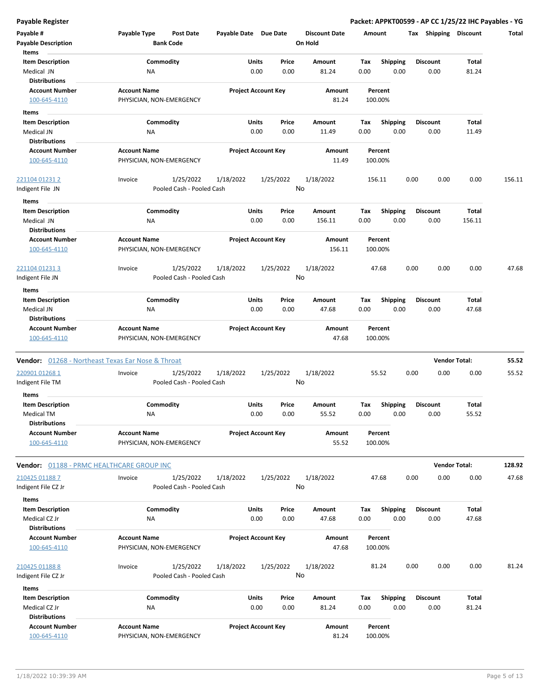| Payable #                                 | Payable Type<br><b>Post Date</b>                  | Payable Date Due Date      |               | <b>Discount Date</b> | Amount             |                         | Shipping<br>Tax         | <b>Discount</b>       | <b>Total</b> |
|-------------------------------------------|---------------------------------------------------|----------------------------|---------------|----------------------|--------------------|-------------------------|-------------------------|-----------------------|--------------|
| <b>Payable Description</b>                | <b>Bank Code</b>                                  |                            |               | On Hold              |                    |                         |                         |                       |              |
| Items                                     |                                                   |                            |               |                      |                    |                         |                         |                       |              |
| <b>Item Description</b>                   | Commodity                                         | Units                      | Price         | Amount               | Tax                | <b>Shipping</b>         | <b>Discount</b>         | Total                 |              |
| Medical JN                                | ΝA                                                | 0.00                       | 0.00          | 81.24                | 0.00               | 0.00                    | 0.00                    | 81.24                 |              |
| <b>Distributions</b>                      |                                                   |                            |               |                      |                    |                         |                         |                       |              |
| <b>Account Number</b>                     | <b>Account Name</b>                               | <b>Project Account Key</b> |               | Amount               | Percent            |                         |                         |                       |              |
| 100-645-4110                              | PHYSICIAN, NON-EMERGENCY                          |                            |               | 81.24                | 100.00%            |                         |                         |                       |              |
| Items                                     |                                                   |                            |               |                      |                    |                         |                         |                       |              |
| <b>Item Description</b>                   | Commodity                                         | Units                      | Price         | Amount               | Tax                | <b>Shipping</b>         | <b>Discount</b>         | <b>Total</b>          |              |
| Medical JN                                | <b>NA</b>                                         | 0.00                       | 0.00          | 11.49                | 0.00               | 0.00                    | 0.00                    | 11.49                 |              |
| <b>Distributions</b>                      |                                                   |                            |               |                      |                    |                         |                         |                       |              |
| <b>Account Number</b>                     | <b>Account Name</b>                               | <b>Project Account Key</b> |               | Amount               | Percent            |                         |                         |                       |              |
| 100-645-4110                              | PHYSICIAN, NON-EMERGENCY                          |                            |               | 11.49                | 100.00%            |                         |                         |                       |              |
| <u>221104 01231 2</u>                     | 1/25/2022<br>Invoice                              | 1/18/2022                  | 1/25/2022     | 1/18/2022            | 156.11             |                         | 0.00<br>0.00            | 0.00                  | 156.11       |
| Indigent File JN                          | Pooled Cash - Pooled Cash                         |                            | No            |                      |                    |                         |                         |                       |              |
| Items                                     |                                                   |                            |               |                      |                    |                         |                         |                       |              |
| <b>Item Description</b>                   | Commodity                                         | Units                      | Price         | Amount               | Tax                | <b>Shipping</b>         | <b>Discount</b>         | <b>Total</b>          |              |
| Medical JN                                | ΝA                                                | 0.00                       | 0.00          | 156.11               | 0.00               | 0.00                    | 0.00                    | 156.11                |              |
| <b>Distributions</b>                      |                                                   |                            |               |                      |                    |                         |                         |                       |              |
| <b>Account Number</b>                     | <b>Account Name</b>                               | <b>Project Account Key</b> |               | Amount               | Percent            |                         |                         |                       |              |
| 100-645-4110                              | PHYSICIAN, NON-EMERGENCY                          |                            |               | 156.11               | 100.00%            |                         |                         |                       |              |
| <u>221104 01231 3</u>                     | 1/25/2022<br>Invoice                              | 1/18/2022                  | 1/25/2022     | 1/18/2022            | 47.68              |                         | 0.00<br>0.00            | 0.00                  | 47.68        |
| Indigent File JN                          | Pooled Cash - Pooled Cash                         |                            | No            |                      |                    |                         |                         |                       |              |
|                                           |                                                   |                            |               |                      |                    |                         |                         |                       |              |
| Items                                     |                                                   |                            |               |                      |                    |                         |                         |                       |              |
| <b>Item Description</b><br>Medical JN     | Commodity<br>ΝA                                   | Units<br>0.00              | Price<br>0.00 | Amount<br>47.68      | Tax<br>0.00        | <b>Shipping</b><br>0.00 | <b>Discount</b><br>0.00 | <b>Total</b><br>47.68 |              |
| <b>Distributions</b>                      |                                                   |                            |               |                      |                    |                         |                         |                       |              |
| <b>Account Number</b><br>100-645-4110     | <b>Account Name</b><br>PHYSICIAN, NON-EMERGENCY   | <b>Project Account Key</b> |               | Amount<br>47.68      | Percent<br>100.00% |                         |                         |                       |              |
|                                           | Vendor: 01268 - Northeast Texas Ear Nose & Throat |                            |               |                      |                    |                         | <b>Vendor Total:</b>    |                       | 55.52        |
| 220901 01268 1                            | Invoice<br>1/25/2022                              | 1/18/2022                  | 1/25/2022     | 1/18/2022            | 55.52              |                         | 0.00<br>0.00            | 0.00                  | 55.52        |
| Indigent File TM                          | Pooled Cash - Pooled Cash                         |                            | No            |                      |                    |                         |                         |                       |              |
| Items                                     |                                                   |                            |               |                      |                    |                         |                         |                       |              |
| <b>Item Description</b>                   | Commodity                                         | Units                      | Price         | Amount               | Tax                | <b>Shipping</b>         | <b>Discount</b>         | Total                 |              |
| Medical TM                                | NA                                                | 0.00                       | 0.00          | 55.52                | 0.00               | 0.00                    | 0.00                    | 55.52                 |              |
| <b>Distributions</b>                      |                                                   |                            |               |                      |                    |                         |                         |                       |              |
| <b>Account Number</b><br>100-645-4110     | <b>Account Name</b><br>PHYSICIAN, NON-EMERGENCY   | <b>Project Account Key</b> |               | Amount<br>55.52      | Percent<br>100.00% |                         |                         |                       |              |
| Vendor: 01188 - PRMC HEALTHCARE GROUP INC |                                                   |                            |               |                      |                    |                         | <b>Vendor Total:</b>    |                       | 128.92       |
| 210425 01188 7                            | 1/25/2022<br>Invoice                              | 1/18/2022                  | 1/25/2022     | 1/18/2022            | 47.68              |                         | 0.00<br>0.00            | 0.00                  | 47.68        |
| Indigent File CZ Jr                       | Pooled Cash - Pooled Cash                         |                            | No            |                      |                    |                         |                         |                       |              |
| Items                                     |                                                   |                            |               |                      |                    |                         |                         |                       |              |
| <b>Item Description</b>                   | Commodity                                         | Units                      | Price         | Amount               | Tax                | Shipping                | <b>Discount</b>         | Total                 |              |
| Medical CZ Jr                             | ΝA                                                | 0.00                       | 0.00          | 47.68                | 0.00               | 0.00                    | 0.00                    | 47.68                 |              |
| <b>Distributions</b>                      |                                                   |                            |               |                      |                    |                         |                         |                       |              |
| <b>Account Number</b>                     | <b>Account Name</b>                               | <b>Project Account Key</b> |               | Amount               | Percent            |                         |                         |                       |              |
| 100-645-4110                              | PHYSICIAN, NON-EMERGENCY                          |                            |               | 47.68                | 100.00%            |                         |                         |                       |              |
| 210425 01188 8                            | 1/25/2022<br>Invoice                              | 1/18/2022                  | 1/25/2022     | 1/18/2022            | 81.24              |                         | 0.00<br>0.00            | 0.00                  | 81.24        |
| Indigent File CZ Jr                       | Pooled Cash - Pooled Cash                         |                            | No            |                      |                    |                         |                         |                       |              |
| Items                                     |                                                   |                            |               |                      |                    |                         |                         |                       |              |
| <b>Item Description</b>                   | Commodity                                         | <b>Units</b>               | Price         |                      |                    |                         | <b>Discount</b>         | Total                 |              |
|                                           |                                                   | 0.00                       | 0.00          | Amount<br>81.24      | Tax<br>0.00        | Shipping<br>0.00        | 0.00                    | 81.24                 |              |
| Medical CZ Jr<br><b>Distributions</b>     | <b>NA</b>                                         |                            |               |                      |                    |                         |                         |                       |              |
| <b>Account Number</b>                     | <b>Account Name</b>                               | <b>Project Account Key</b> |               | Amount               | Percent            |                         |                         |                       |              |
| 100-645-4110                              | PHYSICIAN, NON-EMERGENCY                          |                            |               | 81.24                | 100.00%            |                         |                         |                       |              |
|                                           |                                                   |                            |               |                      |                    |                         |                         |                       |              |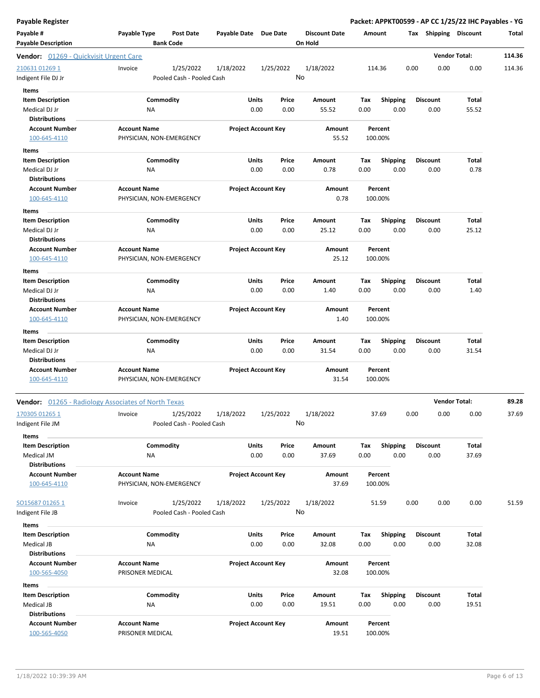| Payable Register                              |                                                     |                       |                            |                      |         |                 |      |                 | Packet: APPKT00599 - AP CC 1/25/22 IHC Payables - YG |        |
|-----------------------------------------------|-----------------------------------------------------|-----------------------|----------------------------|----------------------|---------|-----------------|------|-----------------|------------------------------------------------------|--------|
| Payable #                                     | Payable Type<br><b>Post Date</b>                    | Payable Date Due Date |                            | <b>Discount Date</b> | Amount  |                 |      |                 | Tax Shipping Discount                                | Total  |
| <b>Payable Description</b>                    | <b>Bank Code</b>                                    |                       |                            | On Hold              |         |                 |      |                 |                                                      |        |
| <b>Vendor:</b> 01269 - Quickvisit Urgent Care |                                                     |                       |                            |                      |         |                 |      |                 | <b>Vendor Total:</b>                                 | 114.36 |
| 210631 01269 1                                | Invoice<br>1/25/2022                                | 1/18/2022             | 1/25/2022                  | 1/18/2022            | 114.36  |                 | 0.00 | 0.00            | 0.00                                                 | 114.36 |
| Indigent File DJ Jr                           | Pooled Cash - Pooled Cash                           |                       |                            | No                   |         |                 |      |                 |                                                      |        |
| Items                                         |                                                     |                       |                            |                      |         |                 |      |                 |                                                      |        |
| <b>Item Description</b>                       | Commodity                                           | Units                 | Price                      | Amount               | Tax     | <b>Shipping</b> |      | <b>Discount</b> | Total                                                |        |
| Medical DJ Jr                                 | ΝA                                                  | 0.00                  | 0.00                       | 55.52                | 0.00    | 0.00            |      | 0.00            | 55.52                                                |        |
| <b>Distributions</b>                          |                                                     |                       |                            |                      |         |                 |      |                 |                                                      |        |
| <b>Account Number</b>                         | <b>Account Name</b>                                 |                       | <b>Project Account Key</b> | Amount               |         | Percent         |      |                 |                                                      |        |
| 100-645-4110                                  | PHYSICIAN, NON-EMERGENCY                            |                       |                            | 55.52                | 100.00% |                 |      |                 |                                                      |        |
| Items                                         |                                                     |                       |                            |                      |         |                 |      |                 |                                                      |        |
| <b>Item Description</b>                       | Commodity                                           | Units                 | Price                      | Amount               | Tax     | <b>Shipping</b> |      | Discount        | Total                                                |        |
| Medical DJ Jr                                 | NA                                                  | 0.00                  | 0.00                       | 0.78                 | 0.00    | 0.00            |      | 0.00            | 0.78                                                 |        |
| <b>Distributions</b>                          |                                                     |                       |                            |                      |         |                 |      |                 |                                                      |        |
| <b>Account Number</b>                         | <b>Account Name</b>                                 |                       | <b>Project Account Key</b> | Amount               |         | Percent         |      |                 |                                                      |        |
| 100-645-4110                                  | PHYSICIAN, NON-EMERGENCY                            |                       |                            | 0.78                 | 100.00% |                 |      |                 |                                                      |        |
| Items                                         |                                                     |                       |                            |                      |         |                 |      |                 |                                                      |        |
| <b>Item Description</b>                       | Commodity                                           | Units                 | Price                      | Amount               | Tax     | <b>Shipping</b> |      | Discount        | Total                                                |        |
| Medical DJ Jr                                 | NA                                                  | 0.00                  | 0.00                       | 25.12                | 0.00    | 0.00            |      | 0.00            | 25.12                                                |        |
| <b>Distributions</b>                          |                                                     |                       |                            |                      |         |                 |      |                 |                                                      |        |
| <b>Account Number</b>                         | <b>Account Name</b>                                 |                       | <b>Project Account Key</b> | Amount               |         | Percent         |      |                 |                                                      |        |
| 100-645-4110                                  | PHYSICIAN, NON-EMERGENCY                            |                       |                            | 25.12                | 100.00% |                 |      |                 |                                                      |        |
| Items                                         |                                                     |                       |                            |                      |         |                 |      |                 |                                                      |        |
| <b>Item Description</b>                       | Commodity                                           | Units                 | Price                      | Amount               | Тах     | <b>Shipping</b> |      | <b>Discount</b> | Total                                                |        |
| Medical DJ Jr                                 | <b>NA</b>                                           | 0.00                  | 0.00                       | 1.40                 | 0.00    | 0.00            |      | 0.00            | 1.40                                                 |        |
| <b>Distributions</b>                          |                                                     |                       |                            |                      |         |                 |      |                 |                                                      |        |
| <b>Account Number</b>                         | <b>Account Name</b>                                 |                       | <b>Project Account Key</b> | Amount               |         | Percent         |      |                 |                                                      |        |
| 100-645-4110                                  | PHYSICIAN, NON-EMERGENCY                            |                       |                            | 1.40                 | 100.00% |                 |      |                 |                                                      |        |
| Items                                         |                                                     |                       |                            |                      |         |                 |      |                 |                                                      |        |
| <b>Item Description</b>                       | Commodity                                           | Units                 | Price                      | Amount               | Tax     | <b>Shipping</b> |      | Discount        | Total                                                |        |
| Medical DJ Jr                                 | ΝA                                                  | 0.00                  | 0.00                       | 31.54                | 0.00    | 0.00            |      | 0.00            | 31.54                                                |        |
| <b>Distributions</b>                          |                                                     |                       |                            |                      |         |                 |      |                 |                                                      |        |
| <b>Account Number</b>                         | <b>Account Name</b>                                 |                       | <b>Project Account Key</b> | Amount               |         | Percent         |      |                 |                                                      |        |
| 100-645-4110                                  | PHYSICIAN, NON-EMERGENCY                            |                       |                            | 31.54                | 100.00% |                 |      |                 |                                                      |        |
|                                               | Vendor: 01265 - Radiology Associates of North Texas |                       |                            |                      |         |                 |      |                 | <b>Vendor Total:</b>                                 | 89.28  |
| 170305 01265 1                                | 1/25/2022<br>Invoice                                | 1/18/2022             | 1/25/2022                  | 1/18/2022            |         | 37.69           | 0.00 | 0.00            | 0.00                                                 | 37.69  |
| ndigent File JM                               | Pooled Cash - Pooled Cash                           |                       |                            | No                   |         |                 |      |                 |                                                      |        |
| Items                                         |                                                     |                       |                            |                      |         |                 |      |                 |                                                      |        |
| <b>Item Description</b>                       | Commodity                                           | Units                 | Price                      | Amount               | Tax     | Shipping        |      | <b>Discount</b> | Total                                                |        |
| Medical JM                                    | ΝA                                                  |                       | 0.00<br>0.00               | 37.69                | 0.00    | 0.00            |      | 0.00            | 37.69                                                |        |
| <b>Distributions</b>                          |                                                     |                       |                            |                      |         |                 |      |                 |                                                      |        |
| <b>Account Number</b>                         | <b>Account Name</b>                                 |                       | <b>Project Account Key</b> | Amount               |         | Percent         |      |                 |                                                      |        |
| 100-645-4110                                  | PHYSICIAN, NON-EMERGENCY                            |                       |                            | 37.69                | 100.00% |                 |      |                 |                                                      |        |
| SO15687 01265 1                               | 1/25/2022<br>Invoice                                | 1/18/2022             | 1/25/2022                  | 1/18/2022            |         | 51.59           | 0.00 | 0.00            | 0.00                                                 | 51.59  |
| Indigent File JB                              | Pooled Cash - Pooled Cash                           |                       |                            | No                   |         |                 |      |                 |                                                      |        |
| Items                                         |                                                     |                       |                            |                      |         |                 |      |                 |                                                      |        |
| <b>Item Description</b>                       | Commodity                                           | Units                 | Price                      | Amount               | Tax     | <b>Shipping</b> |      | Discount        | Total                                                |        |
| Medical JB                                    | <b>NA</b>                                           |                       | 0.00<br>0.00               | 32.08                | 0.00    | 0.00            |      | 0.00            | 32.08                                                |        |
| <b>Distributions</b>                          |                                                     |                       |                            |                      |         |                 |      |                 |                                                      |        |
| <b>Account Number</b>                         | <b>Account Name</b>                                 |                       | <b>Project Account Key</b> | Amount               |         | Percent         |      |                 |                                                      |        |
| 100-565-4050                                  | PRISONER MEDICAL                                    |                       |                            | 32.08                | 100.00% |                 |      |                 |                                                      |        |
| Items                                         |                                                     |                       |                            |                      |         |                 |      |                 |                                                      |        |
| <b>Item Description</b>                       | Commodity                                           | Units                 | Price                      | Amount               | Тах     | <b>Shipping</b> |      | <b>Discount</b> | Total                                                |        |
| Medical JB                                    | ΝA                                                  |                       | 0.00<br>0.00               | 19.51                | 0.00    | 0.00            |      | 0.00            | 19.51                                                |        |
| <b>Distributions</b>                          |                                                     |                       |                            |                      |         |                 |      |                 |                                                      |        |
| <b>Account Number</b>                         | <b>Account Name</b>                                 |                       | <b>Project Account Key</b> | Amount               |         | Percent         |      |                 |                                                      |        |
| 100-565-4050                                  | PRISONER MEDICAL                                    |                       |                            | 19.51                | 100.00% |                 |      |                 |                                                      |        |
|                                               |                                                     |                       |                            |                      |         |                 |      |                 |                                                      |        |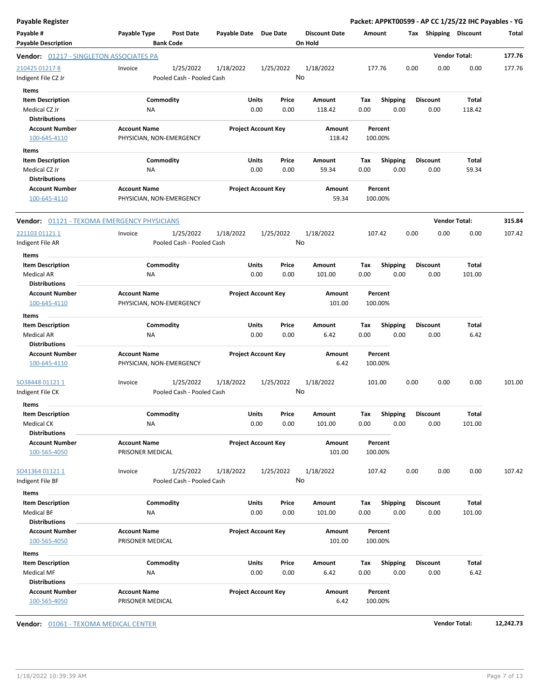| Payable Register                                                              |                                                   |                            |                 |                                 | Packet: APPKT00599 - AP CC 1/25/22 IHC Payables - YG |                         |                         |                       |              |
|-------------------------------------------------------------------------------|---------------------------------------------------|----------------------------|-----------------|---------------------------------|------------------------------------------------------|-------------------------|-------------------------|-----------------------|--------------|
| Payable #<br><b>Payable Description</b>                                       | Payable Type<br>Post Date<br><b>Bank Code</b>     | Payable Date Due Date      |                 | <b>Discount Date</b><br>On Hold | Amount                                               |                         | Tax Shipping Discount   |                       | <b>Total</b> |
| <b>Vendor:</b> 01217 - SINGLETON ASSOCIATES PA                                |                                                   |                            |                 |                                 |                                                      |                         |                         | <b>Vendor Total:</b>  | 177.76       |
| 210425 01217 8<br>Indigent File CZ Jr<br>Items                                | Invoice<br>1/25/2022<br>Pooled Cash - Pooled Cash | 1/18/2022                  | 1/25/2022<br>No | 1/18/2022                       | 177.76                                               | 0.00                    | 0.00                    | 0.00                  | 177.76       |
| <b>Item Description</b><br>Medical CZ Jr<br><b>Distributions</b>              | Commodity<br>ΝA                                   | Units<br>0.00              | Price<br>0.00   | Amount<br>118.42                | Tax<br>0.00                                          | <b>Shipping</b><br>0.00 | <b>Discount</b><br>0.00 | Total<br>118.42       |              |
| <b>Account Number</b><br>100-645-4110<br>Items                                | <b>Account Name</b><br>PHYSICIAN, NON-EMERGENCY   | <b>Project Account Key</b> |                 | Amount<br>118.42                | Percent<br>100.00%                                   |                         |                         |                       |              |
| <b>Item Description</b><br>Medical CZ Jr<br><b>Distributions</b>              | Commodity<br>ΝA                                   | Units<br>0.00              | Price<br>0.00   | Amount<br>59.34                 | Tax<br>0.00                                          | <b>Shipping</b><br>0.00 | <b>Discount</b><br>0.00 | <b>Total</b><br>59.34 |              |
| <b>Account Number</b><br>100-645-4110                                         | <b>Account Name</b><br>PHYSICIAN, NON-EMERGENCY   | <b>Project Account Key</b> |                 | Amount<br>59.34                 | Percent<br>100.00%                                   |                         |                         |                       |              |
| <b>Vendor:</b> 01121 - TEXOMA EMERGENCY PHYSICIANS                            |                                                   |                            |                 |                                 |                                                      |                         |                         | <b>Vendor Total:</b>  | 315.84       |
| <u>221103 01121 1</u><br>Indigent File AR<br>Items                            | 1/25/2022<br>Invoice<br>Pooled Cash - Pooled Cash | 1/18/2022                  | 1/25/2022<br>No | 1/18/2022                       | 107.42                                               | 0.00                    | 0.00                    | 0.00                  | 107.42       |
| <b>Item Description</b><br><b>Medical AR</b><br><b>Distributions</b>          | Commodity<br><b>NA</b>                            | Units<br>0.00              | Price<br>0.00   | Amount<br>101.00                | Tax<br>0.00                                          | <b>Shipping</b><br>0.00 | <b>Discount</b><br>0.00 | Total<br>101.00       |              |
| <b>Account Number</b><br>100-645-4110                                         | <b>Account Name</b><br>PHYSICIAN, NON-EMERGENCY   | <b>Project Account Key</b> |                 | Amount<br>101.00                | Percent<br>100.00%                                   |                         |                         |                       |              |
| Items<br><b>Item Description</b><br>Medical AR<br><b>Distributions</b>        | Commodity<br><b>NA</b>                            | Units<br>0.00              | Price<br>0.00   | Amount<br>6.42                  | Tax<br>0.00                                          | <b>Shipping</b><br>0.00 | <b>Discount</b><br>0.00 | Total<br>6.42         |              |
| <b>Account Number</b><br>100-645-4110                                         | <b>Account Name</b><br>PHYSICIAN, NON-EMERGENCY   | <b>Project Account Key</b> |                 | Amount<br>6.42                  | Percent<br>100.00%                                   |                         |                         |                       |              |
| SO38448 01121 1<br>Indigent File CK                                           | 1/25/2022<br>Invoice<br>Pooled Cash - Pooled Cash | 1/18/2022                  | 1/25/2022<br>No | 1/18/2022                       | 101.00                                               | 0.00                    | 0.00                    | 0.00                  | 101.00       |
| Items<br><b>Item Description</b>                                              | Commodity                                         | Units                      | Price           | Amount                          | Tax                                                  |                         | Shipping Discount       | <b>Total</b>          |              |
| Medical CK<br><b>Distributions</b>                                            | ΝA                                                | 0.00                       | 0.00            | 101.00                          | 0.00                                                 | 0.00                    | 0.00                    | 101.00                |              |
| <b>Account Number</b><br>100-565-4050                                         | <b>Account Name</b><br>PRISONER MEDICAL           | <b>Project Account Key</b> |                 | Amount<br>101.00                | Percent<br>100.00%                                   |                         |                         |                       |              |
| SO41364 01121 1<br>Indigent File BF                                           | 1/25/2022<br>Invoice<br>Pooled Cash - Pooled Cash | 1/18/2022                  | 1/25/2022<br>No | 1/18/2022                       | 107.42                                               | 0.00                    | 0.00                    | 0.00                  | 107.42       |
| Items<br><b>Item Description</b><br><b>Medical BF</b><br><b>Distributions</b> | Commodity<br>NA                                   | Units<br>0.00              | Price<br>0.00   | Amount<br>101.00                | Tax<br>0.00                                          | Shipping<br>0.00        | <b>Discount</b><br>0.00 | Total<br>101.00       |              |
| <b>Account Number</b><br>100-565-4050                                         | <b>Account Name</b><br>PRISONER MEDICAL           | <b>Project Account Key</b> |                 | Amount<br>101.00                | Percent<br>100.00%                                   |                         |                         |                       |              |
| Items<br><b>Item Description</b>                                              | Commodity                                         | Units                      | Price           | Amount                          | Тах                                                  | <b>Shipping</b>         | <b>Discount</b>         | Total                 |              |
| <b>Medical MF</b><br><b>Distributions</b>                                     | NA                                                | 0.00                       | 0.00            | 6.42                            | 0.00                                                 | 0.00                    | 0.00                    | 6.42                  |              |
| <b>Account Number</b><br>100-565-4050                                         | <b>Account Name</b><br>PRISONER MEDICAL           | <b>Project Account Key</b> |                 | Amount<br>6.42                  | Percent<br>100.00%                                   |                         |                         |                       |              |

**Vendor:** 01061 - TEXOMA MEDICAL CENTER **Vendor Total: 12,242.73**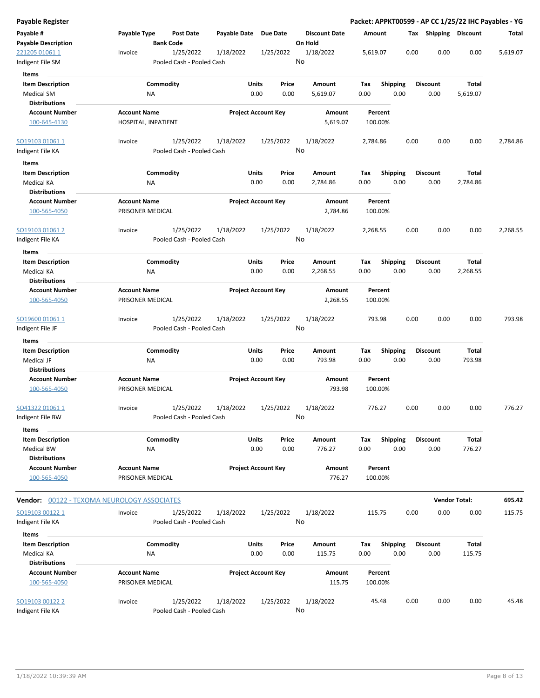| Payable #<br>Payable Type<br>Payable Date Due Date<br><b>Discount Date</b><br>Tax Shipping Discount<br><b>Post Date</b><br>Amount<br><b>Bank Code</b><br>On Hold<br><b>Payable Description</b><br>0.00<br>0.00<br>0.00<br>221205 01061 1<br>1/25/2022<br>1/18/2022<br>1/25/2022<br>1/18/2022<br>5,619.07<br>Invoice<br>No<br>Pooled Cash - Pooled Cash<br>Indigent File SM<br>Items<br>Commodity<br>Units<br><b>Item Description</b><br>Price<br>Amount<br>Tax<br><b>Shipping</b><br>Discount<br>Total<br><b>Medical SM</b><br>NA<br>0.00<br>0.00<br>0.00<br>0.00<br>0.00<br>5,619.07<br>5,619.07<br><b>Distributions</b><br><b>Account Name</b><br><b>Project Account Key</b><br><b>Account Number</b><br>Amount<br>Percent<br>HOSPITAL, INPATIENT<br>100-645-4130<br>5,619.07<br>100.00%<br>SO19103 01061 1<br>1/25/2022<br>1/18/2022<br>1/25/2022<br>1/18/2022<br>0.00<br>0.00<br>0.00<br>Invoice<br>2,784.86<br>No<br>Pooled Cash - Pooled Cash<br>Indigent File KA<br>Items<br><b>Item Description</b><br>Commodity<br>Units<br><b>Discount</b><br>Total<br>Price<br>Amount<br>Tax<br><b>Shipping</b><br>Medical KA<br>0.00<br>0.00<br>0.00<br>0.00<br>0.00<br>2,784.86<br>NA<br>2,784.86<br><b>Distributions</b><br><b>Account Name</b><br><b>Project Account Key</b><br><b>Account Number</b><br>Amount<br>Percent<br>2,784.86<br>100-565-4050<br>PRISONER MEDICAL<br>100.00%<br>1/25/2022<br>1/25/2022<br>1/18/2022<br>1/18/2022<br>2,268.55<br>0.00<br>0.00<br>0.00<br>SO19103 01061 2<br>Invoice<br>No<br>Pooled Cash - Pooled Cash<br>Indigent File KA<br>Items<br>Commodity<br>Units<br>Total<br><b>Item Description</b><br>Price<br>Amount<br>Tax<br><b>Shipping</b><br>Discount<br>0.00<br>0.00<br>0.00<br><b>Medical KA</b><br>0.00<br>2,268.55<br>0.00<br>2,268.55<br>ΝA<br>Distributions<br><b>Account Name</b><br><b>Project Account Key</b><br><b>Account Number</b><br>Amount<br>Percent<br>PRISONER MEDICAL<br>2,268.55<br>100.00%<br>100-565-4050<br>1/25/2022<br>1/25/2022<br>1/18/2022<br>1/18/2022<br>793.98<br>0.00<br>0.00<br>0.00<br>SO19600 010611<br>Invoice<br>No<br>Pooled Cash - Pooled Cash<br>Indigent File JF<br>Items<br><b>Item Description</b><br>Commodity<br>Units<br>Shipping<br>Price<br>Amount<br>Tax<br>Discount<br>Total<br>0.00<br>Medical JF<br>NA<br>0.00<br>793.98<br>0.00<br>0.00<br>0.00<br>793.98<br><b>Distributions</b><br><b>Account Number</b><br><b>Account Name</b><br><b>Project Account Key</b><br>Amount<br>Percent<br>PRISONER MEDICAL<br>793.98<br>100.00%<br>100-565-4050<br>1/25/2022<br>1/18/2022<br>1/25/2022<br>1/18/2022<br>0.00<br>SO41322 01061 1<br>Invoice<br>776.27<br>0.00<br>0.00<br>No<br>Indigent File BW<br>Pooled Cash - Pooled Cash | Total<br>5,619.07<br>2,784.86 |
|-----------------------------------------------------------------------------------------------------------------------------------------------------------------------------------------------------------------------------------------------------------------------------------------------------------------------------------------------------------------------------------------------------------------------------------------------------------------------------------------------------------------------------------------------------------------------------------------------------------------------------------------------------------------------------------------------------------------------------------------------------------------------------------------------------------------------------------------------------------------------------------------------------------------------------------------------------------------------------------------------------------------------------------------------------------------------------------------------------------------------------------------------------------------------------------------------------------------------------------------------------------------------------------------------------------------------------------------------------------------------------------------------------------------------------------------------------------------------------------------------------------------------------------------------------------------------------------------------------------------------------------------------------------------------------------------------------------------------------------------------------------------------------------------------------------------------------------------------------------------------------------------------------------------------------------------------------------------------------------------------------------------------------------------------------------------------------------------------------------------------------------------------------------------------------------------------------------------------------------------------------------------------------------------------------------------------------------------------------------------------------------------------------------------------------------------------------------------------------------------------------------------------------------------------------------------------------------------------------------------------------------------------------------------------------------------------------------------------|-------------------------------|
|                                                                                                                                                                                                                                                                                                                                                                                                                                                                                                                                                                                                                                                                                                                                                                                                                                                                                                                                                                                                                                                                                                                                                                                                                                                                                                                                                                                                                                                                                                                                                                                                                                                                                                                                                                                                                                                                                                                                                                                                                                                                                                                                                                                                                                                                                                                                                                                                                                                                                                                                                                                                                                                                                                                       |                               |
|                                                                                                                                                                                                                                                                                                                                                                                                                                                                                                                                                                                                                                                                                                                                                                                                                                                                                                                                                                                                                                                                                                                                                                                                                                                                                                                                                                                                                                                                                                                                                                                                                                                                                                                                                                                                                                                                                                                                                                                                                                                                                                                                                                                                                                                                                                                                                                                                                                                                                                                                                                                                                                                                                                                       |                               |
|                                                                                                                                                                                                                                                                                                                                                                                                                                                                                                                                                                                                                                                                                                                                                                                                                                                                                                                                                                                                                                                                                                                                                                                                                                                                                                                                                                                                                                                                                                                                                                                                                                                                                                                                                                                                                                                                                                                                                                                                                                                                                                                                                                                                                                                                                                                                                                                                                                                                                                                                                                                                                                                                                                                       |                               |
|                                                                                                                                                                                                                                                                                                                                                                                                                                                                                                                                                                                                                                                                                                                                                                                                                                                                                                                                                                                                                                                                                                                                                                                                                                                                                                                                                                                                                                                                                                                                                                                                                                                                                                                                                                                                                                                                                                                                                                                                                                                                                                                                                                                                                                                                                                                                                                                                                                                                                                                                                                                                                                                                                                                       |                               |
|                                                                                                                                                                                                                                                                                                                                                                                                                                                                                                                                                                                                                                                                                                                                                                                                                                                                                                                                                                                                                                                                                                                                                                                                                                                                                                                                                                                                                                                                                                                                                                                                                                                                                                                                                                                                                                                                                                                                                                                                                                                                                                                                                                                                                                                                                                                                                                                                                                                                                                                                                                                                                                                                                                                       |                               |
|                                                                                                                                                                                                                                                                                                                                                                                                                                                                                                                                                                                                                                                                                                                                                                                                                                                                                                                                                                                                                                                                                                                                                                                                                                                                                                                                                                                                                                                                                                                                                                                                                                                                                                                                                                                                                                                                                                                                                                                                                                                                                                                                                                                                                                                                                                                                                                                                                                                                                                                                                                                                                                                                                                                       |                               |
|                                                                                                                                                                                                                                                                                                                                                                                                                                                                                                                                                                                                                                                                                                                                                                                                                                                                                                                                                                                                                                                                                                                                                                                                                                                                                                                                                                                                                                                                                                                                                                                                                                                                                                                                                                                                                                                                                                                                                                                                                                                                                                                                                                                                                                                                                                                                                                                                                                                                                                                                                                                                                                                                                                                       |                               |
|                                                                                                                                                                                                                                                                                                                                                                                                                                                                                                                                                                                                                                                                                                                                                                                                                                                                                                                                                                                                                                                                                                                                                                                                                                                                                                                                                                                                                                                                                                                                                                                                                                                                                                                                                                                                                                                                                                                                                                                                                                                                                                                                                                                                                                                                                                                                                                                                                                                                                                                                                                                                                                                                                                                       |                               |
|                                                                                                                                                                                                                                                                                                                                                                                                                                                                                                                                                                                                                                                                                                                                                                                                                                                                                                                                                                                                                                                                                                                                                                                                                                                                                                                                                                                                                                                                                                                                                                                                                                                                                                                                                                                                                                                                                                                                                                                                                                                                                                                                                                                                                                                                                                                                                                                                                                                                                                                                                                                                                                                                                                                       |                               |
|                                                                                                                                                                                                                                                                                                                                                                                                                                                                                                                                                                                                                                                                                                                                                                                                                                                                                                                                                                                                                                                                                                                                                                                                                                                                                                                                                                                                                                                                                                                                                                                                                                                                                                                                                                                                                                                                                                                                                                                                                                                                                                                                                                                                                                                                                                                                                                                                                                                                                                                                                                                                                                                                                                                       |                               |
|                                                                                                                                                                                                                                                                                                                                                                                                                                                                                                                                                                                                                                                                                                                                                                                                                                                                                                                                                                                                                                                                                                                                                                                                                                                                                                                                                                                                                                                                                                                                                                                                                                                                                                                                                                                                                                                                                                                                                                                                                                                                                                                                                                                                                                                                                                                                                                                                                                                                                                                                                                                                                                                                                                                       |                               |
|                                                                                                                                                                                                                                                                                                                                                                                                                                                                                                                                                                                                                                                                                                                                                                                                                                                                                                                                                                                                                                                                                                                                                                                                                                                                                                                                                                                                                                                                                                                                                                                                                                                                                                                                                                                                                                                                                                                                                                                                                                                                                                                                                                                                                                                                                                                                                                                                                                                                                                                                                                                                                                                                                                                       |                               |
|                                                                                                                                                                                                                                                                                                                                                                                                                                                                                                                                                                                                                                                                                                                                                                                                                                                                                                                                                                                                                                                                                                                                                                                                                                                                                                                                                                                                                                                                                                                                                                                                                                                                                                                                                                                                                                                                                                                                                                                                                                                                                                                                                                                                                                                                                                                                                                                                                                                                                                                                                                                                                                                                                                                       |                               |
|                                                                                                                                                                                                                                                                                                                                                                                                                                                                                                                                                                                                                                                                                                                                                                                                                                                                                                                                                                                                                                                                                                                                                                                                                                                                                                                                                                                                                                                                                                                                                                                                                                                                                                                                                                                                                                                                                                                                                                                                                                                                                                                                                                                                                                                                                                                                                                                                                                                                                                                                                                                                                                                                                                                       | 2,268.55                      |
|                                                                                                                                                                                                                                                                                                                                                                                                                                                                                                                                                                                                                                                                                                                                                                                                                                                                                                                                                                                                                                                                                                                                                                                                                                                                                                                                                                                                                                                                                                                                                                                                                                                                                                                                                                                                                                                                                                                                                                                                                                                                                                                                                                                                                                                                                                                                                                                                                                                                                                                                                                                                                                                                                                                       |                               |
|                                                                                                                                                                                                                                                                                                                                                                                                                                                                                                                                                                                                                                                                                                                                                                                                                                                                                                                                                                                                                                                                                                                                                                                                                                                                                                                                                                                                                                                                                                                                                                                                                                                                                                                                                                                                                                                                                                                                                                                                                                                                                                                                                                                                                                                                                                                                                                                                                                                                                                                                                                                                                                                                                                                       |                               |
|                                                                                                                                                                                                                                                                                                                                                                                                                                                                                                                                                                                                                                                                                                                                                                                                                                                                                                                                                                                                                                                                                                                                                                                                                                                                                                                                                                                                                                                                                                                                                                                                                                                                                                                                                                                                                                                                                                                                                                                                                                                                                                                                                                                                                                                                                                                                                                                                                                                                                                                                                                                                                                                                                                                       |                               |
|                                                                                                                                                                                                                                                                                                                                                                                                                                                                                                                                                                                                                                                                                                                                                                                                                                                                                                                                                                                                                                                                                                                                                                                                                                                                                                                                                                                                                                                                                                                                                                                                                                                                                                                                                                                                                                                                                                                                                                                                                                                                                                                                                                                                                                                                                                                                                                                                                                                                                                                                                                                                                                                                                                                       |                               |
|                                                                                                                                                                                                                                                                                                                                                                                                                                                                                                                                                                                                                                                                                                                                                                                                                                                                                                                                                                                                                                                                                                                                                                                                                                                                                                                                                                                                                                                                                                                                                                                                                                                                                                                                                                                                                                                                                                                                                                                                                                                                                                                                                                                                                                                                                                                                                                                                                                                                                                                                                                                                                                                                                                                       |                               |
|                                                                                                                                                                                                                                                                                                                                                                                                                                                                                                                                                                                                                                                                                                                                                                                                                                                                                                                                                                                                                                                                                                                                                                                                                                                                                                                                                                                                                                                                                                                                                                                                                                                                                                                                                                                                                                                                                                                                                                                                                                                                                                                                                                                                                                                                                                                                                                                                                                                                                                                                                                                                                                                                                                                       |                               |
|                                                                                                                                                                                                                                                                                                                                                                                                                                                                                                                                                                                                                                                                                                                                                                                                                                                                                                                                                                                                                                                                                                                                                                                                                                                                                                                                                                                                                                                                                                                                                                                                                                                                                                                                                                                                                                                                                                                                                                                                                                                                                                                                                                                                                                                                                                                                                                                                                                                                                                                                                                                                                                                                                                                       | 793.98                        |
|                                                                                                                                                                                                                                                                                                                                                                                                                                                                                                                                                                                                                                                                                                                                                                                                                                                                                                                                                                                                                                                                                                                                                                                                                                                                                                                                                                                                                                                                                                                                                                                                                                                                                                                                                                                                                                                                                                                                                                                                                                                                                                                                                                                                                                                                                                                                                                                                                                                                                                                                                                                                                                                                                                                       |                               |
|                                                                                                                                                                                                                                                                                                                                                                                                                                                                                                                                                                                                                                                                                                                                                                                                                                                                                                                                                                                                                                                                                                                                                                                                                                                                                                                                                                                                                                                                                                                                                                                                                                                                                                                                                                                                                                                                                                                                                                                                                                                                                                                                                                                                                                                                                                                                                                                                                                                                                                                                                                                                                                                                                                                       |                               |
|                                                                                                                                                                                                                                                                                                                                                                                                                                                                                                                                                                                                                                                                                                                                                                                                                                                                                                                                                                                                                                                                                                                                                                                                                                                                                                                                                                                                                                                                                                                                                                                                                                                                                                                                                                                                                                                                                                                                                                                                                                                                                                                                                                                                                                                                                                                                                                                                                                                                                                                                                                                                                                                                                                                       |                               |
|                                                                                                                                                                                                                                                                                                                                                                                                                                                                                                                                                                                                                                                                                                                                                                                                                                                                                                                                                                                                                                                                                                                                                                                                                                                                                                                                                                                                                                                                                                                                                                                                                                                                                                                                                                                                                                                                                                                                                                                                                                                                                                                                                                                                                                                                                                                                                                                                                                                                                                                                                                                                                                                                                                                       |                               |
|                                                                                                                                                                                                                                                                                                                                                                                                                                                                                                                                                                                                                                                                                                                                                                                                                                                                                                                                                                                                                                                                                                                                                                                                                                                                                                                                                                                                                                                                                                                                                                                                                                                                                                                                                                                                                                                                                                                                                                                                                                                                                                                                                                                                                                                                                                                                                                                                                                                                                                                                                                                                                                                                                                                       |                               |
|                                                                                                                                                                                                                                                                                                                                                                                                                                                                                                                                                                                                                                                                                                                                                                                                                                                                                                                                                                                                                                                                                                                                                                                                                                                                                                                                                                                                                                                                                                                                                                                                                                                                                                                                                                                                                                                                                                                                                                                                                                                                                                                                                                                                                                                                                                                                                                                                                                                                                                                                                                                                                                                                                                                       |                               |
|                                                                                                                                                                                                                                                                                                                                                                                                                                                                                                                                                                                                                                                                                                                                                                                                                                                                                                                                                                                                                                                                                                                                                                                                                                                                                                                                                                                                                                                                                                                                                                                                                                                                                                                                                                                                                                                                                                                                                                                                                                                                                                                                                                                                                                                                                                                                                                                                                                                                                                                                                                                                                                                                                                                       | 776.27                        |
| Items                                                                                                                                                                                                                                                                                                                                                                                                                                                                                                                                                                                                                                                                                                                                                                                                                                                                                                                                                                                                                                                                                                                                                                                                                                                                                                                                                                                                                                                                                                                                                                                                                                                                                                                                                                                                                                                                                                                                                                                                                                                                                                                                                                                                                                                                                                                                                                                                                                                                                                                                                                                                                                                                                                                 |                               |
| <b>Units</b><br><b>Total</b><br><b>Item Description</b><br>Commodity<br>Price<br>Amount<br><b>Shipping</b><br>Tax<br><b>Discount</b>                                                                                                                                                                                                                                                                                                                                                                                                                                                                                                                                                                                                                                                                                                                                                                                                                                                                                                                                                                                                                                                                                                                                                                                                                                                                                                                                                                                                                                                                                                                                                                                                                                                                                                                                                                                                                                                                                                                                                                                                                                                                                                                                                                                                                                                                                                                                                                                                                                                                                                                                                                                  |                               |
| 0.00<br>0.00<br>0.00<br>776.27<br>0.00<br>0.00<br>776.27<br>Medical BW<br>NA<br><b>Distributions</b>                                                                                                                                                                                                                                                                                                                                                                                                                                                                                                                                                                                                                                                                                                                                                                                                                                                                                                                                                                                                                                                                                                                                                                                                                                                                                                                                                                                                                                                                                                                                                                                                                                                                                                                                                                                                                                                                                                                                                                                                                                                                                                                                                                                                                                                                                                                                                                                                                                                                                                                                                                                                                  |                               |
| <b>Account Number</b><br><b>Account Name</b><br><b>Project Account Key</b><br>Amount<br>Percent<br>776.27<br>100-565-4050<br>PRISONER MEDICAL<br>100.00%                                                                                                                                                                                                                                                                                                                                                                                                                                                                                                                                                                                                                                                                                                                                                                                                                                                                                                                                                                                                                                                                                                                                                                                                                                                                                                                                                                                                                                                                                                                                                                                                                                                                                                                                                                                                                                                                                                                                                                                                                                                                                                                                                                                                                                                                                                                                                                                                                                                                                                                                                              |                               |
| <b>Vendor Total:</b><br><b>Vendor: 00122 - TEXOMA NEUROLOGY ASSOCIATES</b>                                                                                                                                                                                                                                                                                                                                                                                                                                                                                                                                                                                                                                                                                                                                                                                                                                                                                                                                                                                                                                                                                                                                                                                                                                                                                                                                                                                                                                                                                                                                                                                                                                                                                                                                                                                                                                                                                                                                                                                                                                                                                                                                                                                                                                                                                                                                                                                                                                                                                                                                                                                                                                            | 695.42                        |
| 115.75<br>0.00<br>0.00<br>0.00<br>SO19103 00122 1<br>Invoice<br>1/25/2022<br>1/18/2022<br>1/25/2022<br>1/18/2022                                                                                                                                                                                                                                                                                                                                                                                                                                                                                                                                                                                                                                                                                                                                                                                                                                                                                                                                                                                                                                                                                                                                                                                                                                                                                                                                                                                                                                                                                                                                                                                                                                                                                                                                                                                                                                                                                                                                                                                                                                                                                                                                                                                                                                                                                                                                                                                                                                                                                                                                                                                                      | 115.75                        |
| No<br>Pooled Cash - Pooled Cash<br>Indigent File KA                                                                                                                                                                                                                                                                                                                                                                                                                                                                                                                                                                                                                                                                                                                                                                                                                                                                                                                                                                                                                                                                                                                                                                                                                                                                                                                                                                                                                                                                                                                                                                                                                                                                                                                                                                                                                                                                                                                                                                                                                                                                                                                                                                                                                                                                                                                                                                                                                                                                                                                                                                                                                                                                   |                               |
| Items                                                                                                                                                                                                                                                                                                                                                                                                                                                                                                                                                                                                                                                                                                                                                                                                                                                                                                                                                                                                                                                                                                                                                                                                                                                                                                                                                                                                                                                                                                                                                                                                                                                                                                                                                                                                                                                                                                                                                                                                                                                                                                                                                                                                                                                                                                                                                                                                                                                                                                                                                                                                                                                                                                                 |                               |
| Commodity<br>Units<br>Shipping<br>Total<br><b>Item Description</b><br>Price<br>Amount<br>Tax<br>Discount                                                                                                                                                                                                                                                                                                                                                                                                                                                                                                                                                                                                                                                                                                                                                                                                                                                                                                                                                                                                                                                                                                                                                                                                                                                                                                                                                                                                                                                                                                                                                                                                                                                                                                                                                                                                                                                                                                                                                                                                                                                                                                                                                                                                                                                                                                                                                                                                                                                                                                                                                                                                              |                               |
| 0.00<br>0.00<br>Medical KA<br>NA<br>0.00<br>115.75<br>0.00<br>0.00<br>115.75                                                                                                                                                                                                                                                                                                                                                                                                                                                                                                                                                                                                                                                                                                                                                                                                                                                                                                                                                                                                                                                                                                                                                                                                                                                                                                                                                                                                                                                                                                                                                                                                                                                                                                                                                                                                                                                                                                                                                                                                                                                                                                                                                                                                                                                                                                                                                                                                                                                                                                                                                                                                                                          |                               |
| <b>Distributions</b>                                                                                                                                                                                                                                                                                                                                                                                                                                                                                                                                                                                                                                                                                                                                                                                                                                                                                                                                                                                                                                                                                                                                                                                                                                                                                                                                                                                                                                                                                                                                                                                                                                                                                                                                                                                                                                                                                                                                                                                                                                                                                                                                                                                                                                                                                                                                                                                                                                                                                                                                                                                                                                                                                                  |                               |
| <b>Account Name</b><br><b>Project Account Key</b><br><b>Account Number</b><br>Amount<br>Percent<br>115.75<br>100-565-4050<br>PRISONER MEDICAL<br>100.00%                                                                                                                                                                                                                                                                                                                                                                                                                                                                                                                                                                                                                                                                                                                                                                                                                                                                                                                                                                                                                                                                                                                                                                                                                                                                                                                                                                                                                                                                                                                                                                                                                                                                                                                                                                                                                                                                                                                                                                                                                                                                                                                                                                                                                                                                                                                                                                                                                                                                                                                                                              |                               |
| SO19103 00122 2<br>1/25/2022<br>1/18/2022<br>1/25/2022<br>1/18/2022<br>45.48<br>0.00<br>0.00<br>0.00<br>Invoice<br>No<br>Pooled Cash - Pooled Cash<br>Indigent File KA                                                                                                                                                                                                                                                                                                                                                                                                                                                                                                                                                                                                                                                                                                                                                                                                                                                                                                                                                                                                                                                                                                                                                                                                                                                                                                                                                                                                                                                                                                                                                                                                                                                                                                                                                                                                                                                                                                                                                                                                                                                                                                                                                                                                                                                                                                                                                                                                                                                                                                                                                | 45.48                         |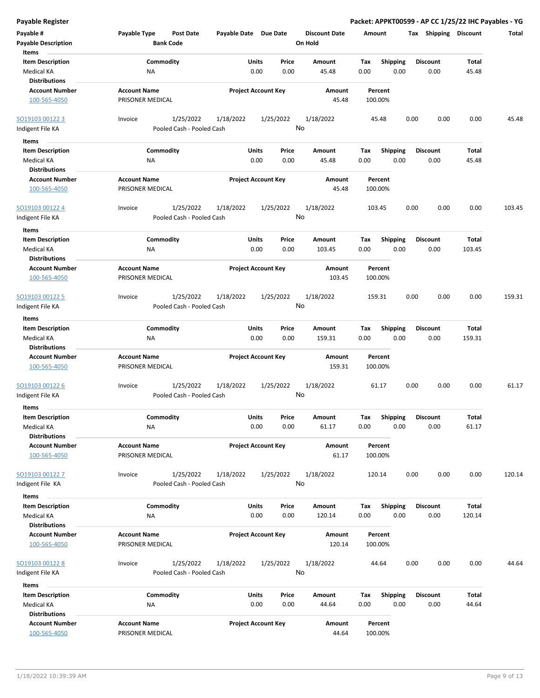| Payable #                             | Payable Type                            | Post Date                              | Payable Date Due Date |                            | <b>Discount Date</b> | Amount             |                 |      | Tax Shipping    | <b>Discount</b> | <b>Total</b> |
|---------------------------------------|-----------------------------------------|----------------------------------------|-----------------------|----------------------------|----------------------|--------------------|-----------------|------|-----------------|-----------------|--------------|
| <b>Payable Description</b><br>Items   |                                         | <b>Bank Code</b>                       |                       |                            | On Hold              |                    |                 |      |                 |                 |              |
| <b>Item Description</b>               | Commodity                               |                                        | Units                 | Price                      | Amount               | Tax                | <b>Shipping</b> |      | <b>Discount</b> | Total           |              |
| Medical KA<br><b>Distributions</b>    | NA                                      |                                        |                       | 0.00<br>0.00               | 45.48                | 0.00               | 0.00            |      | 0.00            | 45.48           |              |
| <b>Account Number</b>                 | <b>Account Name</b>                     |                                        |                       | <b>Project Account Key</b> | Amount               | Percent            |                 |      |                 |                 |              |
| 100-565-4050                          | PRISONER MEDICAL                        |                                        |                       |                            | 45.48                | 100.00%            |                 |      |                 |                 |              |
| SO19103 00122 3                       | Invoice                                 | 1/25/2022                              | 1/18/2022             | 1/25/2022                  | 1/18/2022            | 45.48              |                 | 0.00 | 0.00            | 0.00            | 45.48        |
| Indigent File KA                      |                                         | Pooled Cash - Pooled Cash              |                       |                            | No                   |                    |                 |      |                 |                 |              |
| Items                                 |                                         |                                        |                       |                            |                      |                    |                 |      |                 |                 |              |
| <b>Item Description</b>               | Commodity                               |                                        | Units                 | Price                      | Amount               | Tax                | <b>Shipping</b> |      | <b>Discount</b> | Total           |              |
| Medical KA                            | ΝA                                      |                                        |                       | 0.00<br>0.00               | 45.48                | 0.00               | 0.00            |      | 0.00            | 45.48           |              |
| <b>Distributions</b>                  |                                         |                                        |                       |                            |                      |                    |                 |      |                 |                 |              |
| <b>Account Number</b><br>100-565-4050 | <b>Account Name</b><br>PRISONER MEDICAL |                                        |                       | <b>Project Account Key</b> | Amount<br>45.48      | Percent<br>100.00% |                 |      |                 |                 |              |
| SO19103 00122 4                       | Invoice                                 | 1/25/2022                              | 1/18/2022             | 1/25/2022                  | 1/18/2022            | 103.45             |                 | 0.00 | 0.00            | 0.00            | 103.45       |
| Indigent File KA<br>Items             |                                         | Pooled Cash - Pooled Cash              |                       |                            | No                   |                    |                 |      |                 |                 |              |
| <b>Item Description</b>               | Commodity                               |                                        | Units                 | Price                      | Amount               | Tax                | Shipping        |      | <b>Discount</b> | Total           |              |
| Medical KA                            | NA                                      |                                        |                       | 0.00<br>0.00               | 103.45               | 0.00               | 0.00            |      | 0.00            | 103.45          |              |
| <b>Distributions</b>                  |                                         |                                        |                       |                            |                      |                    |                 |      |                 |                 |              |
| <b>Account Number</b>                 | <b>Account Name</b>                     |                                        |                       | <b>Project Account Key</b> | Amount               | Percent            |                 |      |                 |                 |              |
| 100-565-4050                          | PRISONER MEDICAL                        |                                        |                       |                            | 103.45               | 100.00%            |                 |      |                 |                 |              |
| SO19103 00122 5<br>Indigent File KA   | Invoice                                 | 1/25/2022<br>Pooled Cash - Pooled Cash | 1/18/2022             | 1/25/2022                  | 1/18/2022<br>No      | 159.31             |                 | 0.00 | 0.00            | 0.00            | 159.31       |
| Items                                 |                                         |                                        |                       |                            |                      |                    |                 |      |                 |                 |              |
| <b>Item Description</b>               | Commodity                               |                                        | Units                 | Price                      | Amount               | Tax                | <b>Shipping</b> |      | <b>Discount</b> | Total           |              |
| Medical KA                            | NA                                      |                                        |                       | 0.00<br>0.00               | 159.31               | 0.00               | 0.00            |      | 0.00            | 159.31          |              |
| <b>Distributions</b>                  |                                         |                                        |                       |                            |                      |                    |                 |      |                 |                 |              |
| <b>Account Number</b><br>100-565-4050 | <b>Account Name</b><br>PRISONER MEDICAL |                                        |                       | <b>Project Account Key</b> | Amount<br>159.31     | Percent<br>100.00% |                 |      |                 |                 |              |
| SO19103 00122 6<br>Indigent File KA   | Invoice                                 | 1/25/2022<br>Pooled Cash - Pooled Cash | 1/18/2022             | 1/25/2022                  | 1/18/2022<br>No      | 61.17              |                 | 0.00 | 0.00            | 0.00            | 61.17        |
| Items                                 |                                         |                                        |                       |                            |                      |                    |                 |      |                 |                 |              |
| <b>Item Description</b>               | Commodity                               |                                        | Units                 | Price                      | Amount               | Тах                | <b>Shipping</b> |      | <b>Discount</b> | Total           |              |
| Medical KA<br><b>Distributions</b>    | <b>NA</b>                               |                                        |                       | 0.00<br>0.00               | 61.17                | 0.00               | 0.00            |      | 0.00            | 61.17           |              |
| <b>Account Number</b><br>100-565-4050 | <b>Account Name</b><br>PRISONER MEDICAL |                                        |                       | <b>Project Account Key</b> | Amount<br>61.17      | Percent<br>100.00% |                 |      |                 |                 |              |
| SO19103 00122 7<br>Indigent File KA   | Invoice                                 | 1/25/2022<br>Pooled Cash - Pooled Cash | 1/18/2022             | 1/25/2022                  | 1/18/2022<br>No      | 120.14             |                 | 0.00 | 0.00            | 0.00            | 120.14       |
| Items                                 |                                         |                                        |                       |                            |                      |                    |                 |      |                 |                 |              |
| <b>Item Description</b>               | Commodity                               |                                        | Units                 | Price                      | Amount               | Tax                | <b>Shipping</b> |      | <b>Discount</b> | Total           |              |
| Medical KA<br><b>Distributions</b>    | NA                                      |                                        |                       | 0.00<br>0.00               | 120.14               | 0.00               | 0.00            |      | 0.00            | 120.14          |              |
| <b>Account Number</b>                 | <b>Account Name</b>                     |                                        |                       | <b>Project Account Key</b> | Amount               | Percent            |                 |      |                 |                 |              |
| 100-565-4050                          | PRISONER MEDICAL                        |                                        |                       |                            | 120.14               | 100.00%            |                 |      |                 |                 |              |
| SO19103 00122 8<br>Indigent File KA   | Invoice                                 | 1/25/2022<br>Pooled Cash - Pooled Cash | 1/18/2022             | 1/25/2022                  | 1/18/2022<br>No      | 44.64              |                 | 0.00 | 0.00            | 0.00            | 44.64        |
| Items                                 |                                         |                                        |                       |                            |                      |                    |                 |      |                 |                 |              |
| <b>Item Description</b>               | Commodity                               |                                        | Units                 | Price                      | Amount               | Tax                | <b>Shipping</b> |      | <b>Discount</b> | Total           |              |
| Medical KA                            | ΝA                                      |                                        |                       | 0.00<br>0.00               | 44.64                | 0.00               | 0.00            |      | 0.00            | 44.64           |              |
| <b>Distributions</b>                  |                                         |                                        |                       |                            |                      |                    |                 |      |                 |                 |              |
| <b>Account Number</b>                 | <b>Account Name</b>                     |                                        |                       | <b>Project Account Key</b> | Amount               | Percent            |                 |      |                 |                 |              |
| 100-565-4050                          | PRISONER MEDICAL                        |                                        |                       |                            | 44.64                | 100.00%            |                 |      |                 |                 |              |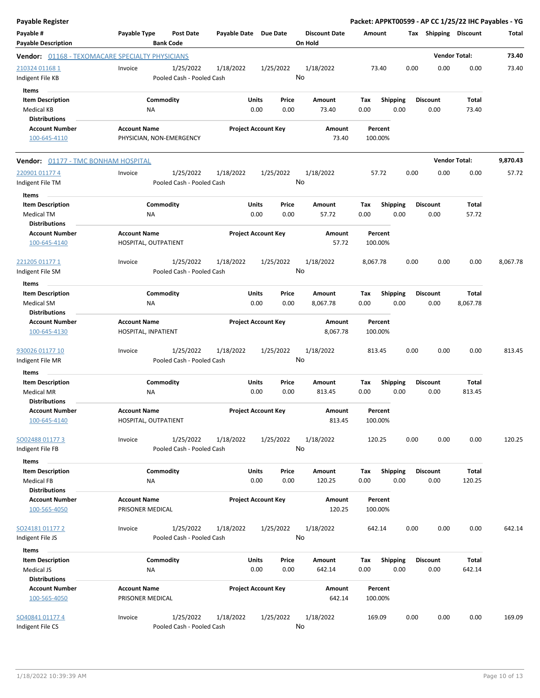| Payable Register                             |                                                        |                       |                            |                      |             |                 | Packet: APPKT00599 - AP CC 1/25/22 IHC Payables - YG |                      |          |
|----------------------------------------------|--------------------------------------------------------|-----------------------|----------------------------|----------------------|-------------|-----------------|------------------------------------------------------|----------------------|----------|
| Payable #                                    | <b>Payable Type</b><br><b>Post Date</b>                | Payable Date Due Date |                            | <b>Discount Date</b> | Amount      |                 | Tax Shipping Discount                                |                      | Total    |
| <b>Payable Description</b>                   | <b>Bank Code</b>                                       |                       |                            | On Hold              |             |                 |                                                      |                      |          |
|                                              | <b>Vendor:</b> 01168 - TEXOMACARE SPECIALTY PHYSICIANS |                       |                            |                      |             |                 |                                                      | <b>Vendor Total:</b> | 73.40    |
| 210324 01168 1                               | 1/25/2022<br>Invoice                                   | 1/18/2022             | 1/25/2022                  | 1/18/2022            | 73.40       | 0.00            | 0.00                                                 | 0.00                 | 73.40    |
| Indigent File KB                             | Pooled Cash - Pooled Cash                              |                       |                            | No                   |             |                 |                                                      |                      |          |
| Items                                        |                                                        |                       |                            |                      |             |                 |                                                      |                      |          |
| <b>Item Description</b>                      | Commodity                                              | Units                 | Price                      | Amount               | Tax         | <b>Shipping</b> | <b>Discount</b>                                      | Total                |          |
| <b>Medical KB</b>                            | ΝA                                                     |                       | 0.00<br>0.00               | 73.40                | 0.00        | 0.00            | 0.00                                                 | 73.40                |          |
| <b>Distributions</b>                         |                                                        |                       |                            |                      |             |                 |                                                      |                      |          |
| <b>Account Number</b>                        | <b>Account Name</b>                                    |                       | <b>Project Account Key</b> | Amount               | Percent     |                 |                                                      |                      |          |
| 100-645-4110                                 | PHYSICIAN, NON-EMERGENCY                               |                       |                            | 73.40                | 100.00%     |                 |                                                      |                      |          |
| Vendor: 01177 - TMC BONHAM HOSPITAL          |                                                        |                       |                            |                      |             |                 |                                                      | <b>Vendor Total:</b> | 9,870.43 |
| 220901 01177 4                               | 1/25/2022                                              |                       | 1/25/2022                  | 1/18/2022            | 57.72       | 0.00            | 0.00                                                 | 0.00                 | 57.72    |
|                                              | Invoice<br>Pooled Cash - Pooled Cash                   | 1/18/2022             |                            | No                   |             |                 |                                                      |                      |          |
| Indigent File TM                             |                                                        |                       |                            |                      |             |                 |                                                      |                      |          |
| Items<br><b>Item Description</b>             | Commodity                                              | Units                 | Price                      | Amount               | Tax         | <b>Shipping</b> | <b>Discount</b>                                      | Total                |          |
| <b>Medical TM</b>                            | ΝA                                                     |                       | 0.00<br>0.00               | 57.72                | 0.00        | 0.00            | 0.00                                                 | 57.72                |          |
| <b>Distributions</b>                         |                                                        |                       |                            |                      |             |                 |                                                      |                      |          |
| <b>Account Number</b>                        | <b>Account Name</b>                                    |                       | <b>Project Account Key</b> | <b>Amount</b>        | Percent     |                 |                                                      |                      |          |
| 100-645-4140                                 | HOSPITAL, OUTPATIENT                                   |                       |                            | 57.72                | 100.00%     |                 |                                                      |                      |          |
| 221205 01177 1                               | 1/25/2022<br>Invoice                                   | 1/18/2022             | 1/25/2022                  | 1/18/2022            | 8,067.78    | 0.00            | 0.00                                                 | 0.00                 | 8,067.78 |
| Indigent File SM                             | Pooled Cash - Pooled Cash                              |                       |                            | No                   |             |                 |                                                      |                      |          |
| Items                                        |                                                        |                       |                            |                      |             |                 |                                                      |                      |          |
|                                              | Commodity                                              | Units                 | Price                      | Amount               | Tax         | <b>Shipping</b> | Discount                                             | Total                |          |
| <b>Item Description</b><br><b>Medical SM</b> | ΝA                                                     |                       | 0.00<br>0.00               | 8,067.78             | 0.00        | 0.00            | 0.00                                                 | 8,067.78             |          |
| <b>Distributions</b>                         |                                                        |                       |                            |                      |             |                 |                                                      |                      |          |
| <b>Account Number</b>                        | <b>Account Name</b>                                    |                       | <b>Project Account Key</b> | Amount               | Percent     |                 |                                                      |                      |          |
| 100-645-4130                                 | HOSPITAL, INPATIENT                                    |                       |                            | 8,067.78             | 100.00%     |                 |                                                      |                      |          |
|                                              |                                                        |                       |                            |                      |             |                 |                                                      |                      |          |
| 930026 01177 10                              | 1/25/2022<br>Invoice                                   | 1/18/2022             | 1/25/2022                  | 1/18/2022            | 813.45      | 0.00            | 0.00                                                 | 0.00                 | 813.45   |
| Indigent File MR                             | Pooled Cash - Pooled Cash                              |                       |                            | No                   |             |                 |                                                      |                      |          |
|                                              |                                                        |                       |                            |                      |             |                 |                                                      |                      |          |
| Items<br><b>Item Description</b>             | Commodity                                              | Units                 | Price                      | Amount               |             | <b>Shipping</b> | <b>Discount</b>                                      | Total                |          |
|                                              |                                                        |                       | 0.00<br>0.00               |                      | Tax<br>0.00 |                 |                                                      |                      |          |
| <b>Medical MR</b><br><b>Distributions</b>    | ΝA                                                     |                       |                            | 813.45               |             | 0.00            | 0.00                                                 | 813.45               |          |
| <b>Account Number</b>                        | <b>Account Name</b>                                    |                       |                            | Amount               | Percent     |                 |                                                      |                      |          |
| 100-645-4140                                 | HOSPITAL, OUTPATIENT                                   |                       | <b>Project Account Key</b> | 813.45               | 100.00%     |                 |                                                      |                      |          |
|                                              |                                                        |                       |                            |                      |             |                 |                                                      |                      |          |
| SO02488 01177 3                              | Invoice<br>1/25/2022                                   | 1/18/2022             | 1/25/2022                  | 1/18/2022            | 120.25      | 0.00            | 0.00                                                 | 0.00                 | 120.25   |
| Indigent File FB                             | Pooled Cash - Pooled Cash                              |                       |                            | No                   |             |                 |                                                      |                      |          |
|                                              |                                                        |                       |                            |                      |             |                 |                                                      |                      |          |
| Items                                        |                                                        |                       |                            |                      |             |                 |                                                      |                      |          |
| <b>Item Description</b>                      | Commodity                                              | Units                 | Price                      | Amount               | Tax         | <b>Shipping</b> | Discount                                             | <b>Total</b>         |          |
| <b>Medical FB</b>                            | <b>NA</b>                                              |                       | 0.00<br>0.00               | 120.25               | 0.00        | 0.00            | 0.00                                                 | 120.25               |          |
| <b>Distributions</b>                         |                                                        |                       |                            |                      |             |                 |                                                      |                      |          |
| <b>Account Number</b>                        | <b>Account Name</b>                                    |                       | <b>Project Account Key</b> | Amount               | Percent     |                 |                                                      |                      |          |
| 100-565-4050                                 | PRISONER MEDICAL                                       |                       |                            | 120.25               | 100.00%     |                 |                                                      |                      |          |
|                                              | 1/25/2022                                              |                       |                            |                      | 642.14      | 0.00            | 0.00                                                 | 0.00                 | 642.14   |
| SO24181 01177 2                              | Invoice<br>Pooled Cash - Pooled Cash                   | 1/18/2022             | 1/25/2022                  | 1/18/2022<br>No      |             |                 |                                                      |                      |          |
| Indigent File JS                             |                                                        |                       |                            |                      |             |                 |                                                      |                      |          |
| Items                                        |                                                        |                       |                            |                      |             |                 |                                                      |                      |          |
| <b>Item Description</b>                      | Commodity                                              | Units                 | Price                      | Amount               | Tax         | Shipping        | <b>Discount</b>                                      | Total                |          |
| Medical JS                                   | <b>NA</b>                                              |                       | 0.00<br>0.00               | 642.14               | 0.00        | 0.00            | 0.00                                                 | 642.14               |          |
| <b>Distributions</b>                         |                                                        |                       |                            |                      |             |                 |                                                      |                      |          |
| <b>Account Number</b>                        | <b>Account Name</b>                                    |                       | <b>Project Account Key</b> | Amount               | Percent     |                 |                                                      |                      |          |
| 100-565-4050                                 | PRISONER MEDICAL                                       |                       |                            | 642.14               | 100.00%     |                 |                                                      |                      |          |
|                                              |                                                        |                       |                            |                      |             |                 |                                                      |                      |          |
| SO40841 01177 4                              | Invoice<br>1/25/2022                                   | 1/18/2022             | 1/25/2022                  | 1/18/2022            | 169.09      | 0.00            | 0.00                                                 | 0.00                 | 169.09   |
| Indigent File CS                             | Pooled Cash - Pooled Cash                              |                       |                            | No                   |             |                 |                                                      |                      |          |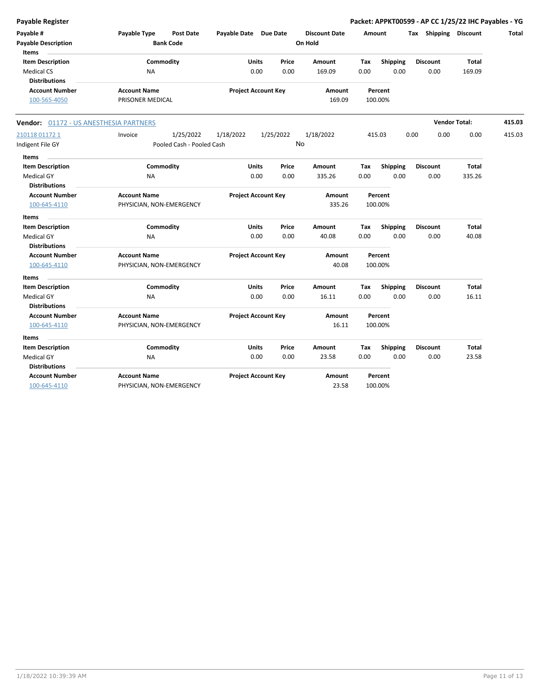| <b>Payable Register</b>                                              |                                                 |                                        |                            |                      |                 |                                 |             |                    | Packet: APPKT00599 - AP CC 1/25/22 IHC Payables - YG |                        |        |
|----------------------------------------------------------------------|-------------------------------------------------|----------------------------------------|----------------------------|----------------------|-----------------|---------------------------------|-------------|--------------------|------------------------------------------------------|------------------------|--------|
| Payable #<br><b>Payable Description</b><br><b>Items</b>              | Payable Type<br><b>Bank Code</b>                | <b>Post Date</b>                       | Payable Date Due Date      |                      |                 | <b>Discount Date</b><br>On Hold |             | Amount             | Tax Shipping Discount                                |                        | Total  |
| <b>Item Description</b><br><b>Medical CS</b><br><b>Distributions</b> | Commodity<br><b>NA</b>                          |                                        |                            | Units<br>0.00        | Price<br>0.00   | Amount<br>169.09                | Tax<br>0.00 | Shipping<br>0.00   | <b>Discount</b><br>0.00                              | <b>Total</b><br>169.09 |        |
| <b>Account Number</b><br>100-565-4050                                | <b>Account Name</b><br>PRISONER MEDICAL         |                                        | <b>Project Account Key</b> |                      |                 | Amount<br>169.09                |             | Percent<br>100.00% |                                                      |                        |        |
| Vendor: 01172 - US ANESTHESIA PARTNERS                               |                                                 |                                        |                            |                      |                 |                                 |             |                    |                                                      | <b>Vendor Total:</b>   | 415.03 |
| 210118 01172 1<br>Indigent File GY                                   | Invoice                                         | 1/25/2022<br>Pooled Cash - Pooled Cash | 1/18/2022                  |                      | 1/25/2022<br>No | 1/18/2022                       |             | 415.03             | 0.00<br>0.00                                         | 0.00                   | 415.03 |
| Items<br><b>Item Description</b><br><b>Medical GY</b>                | Commodity<br><b>NA</b>                          |                                        |                            | <b>Units</b><br>0.00 | Price<br>0.00   | Amount<br>335.26                | Tax<br>0.00 | Shipping<br>0.00   | <b>Discount</b><br>0.00                              | <b>Total</b><br>335.26 |        |
| <b>Distributions</b><br><b>Account Number</b><br>100-645-4110        | <b>Account Name</b><br>PHYSICIAN, NON-EMERGENCY |                                        | <b>Project Account Key</b> |                      |                 | Amount<br>335.26                |             | Percent<br>100.00% |                                                      |                        |        |
| <b>Items</b>                                                         |                                                 |                                        |                            |                      |                 |                                 |             |                    |                                                      |                        |        |
| <b>Item Description</b><br><b>Medical GY</b><br><b>Distributions</b> | Commodity<br>NA                                 |                                        |                            | <b>Units</b><br>0.00 | Price<br>0.00   | <b>Amount</b><br>40.08          | Tax<br>0.00 | Shipping<br>0.00   | <b>Discount</b><br>0.00                              | Total<br>40.08         |        |
| <b>Account Number</b><br>100-645-4110                                | <b>Account Name</b><br>PHYSICIAN, NON-EMERGENCY |                                        | <b>Project Account Key</b> |                      |                 | Amount<br>40.08                 |             | Percent<br>100.00% |                                                      |                        |        |
| <b>Items</b><br><b>Item Description</b>                              | Commodity                                       |                                        |                            | Units                | Price           | Amount                          | Tax         | Shipping           | <b>Discount</b>                                      | Total                  |        |
| <b>Medical GY</b><br><b>Distributions</b>                            | <b>NA</b>                                       |                                        |                            | 0.00                 | 0.00            | 16.11                           | 0.00        | 0.00               | 0.00                                                 | 16.11                  |        |
| <b>Account Number</b><br>100-645-4110                                | <b>Account Name</b><br>PHYSICIAN, NON-EMERGENCY |                                        | <b>Project Account Key</b> |                      |                 | Amount<br>16.11                 |             | Percent<br>100.00% |                                                      |                        |        |
| Items                                                                |                                                 |                                        |                            |                      |                 |                                 |             |                    |                                                      |                        |        |
| <b>Item Description</b><br>Medical GY<br><b>Distributions</b>        | Commodity<br><b>NA</b>                          |                                        |                            | Units<br>0.00        | Price<br>0.00   | <b>Amount</b><br>23.58          | Tax<br>0.00 | Shipping<br>0.00   | <b>Discount</b><br>0.00                              | <b>Total</b><br>23.58  |        |
| <b>Account Number</b><br>100-645-4110                                | <b>Account Name</b><br>PHYSICIAN, NON-EMERGENCY |                                        | <b>Project Account Key</b> |                      |                 | Amount<br>23.58                 |             | Percent<br>100.00% |                                                      |                        |        |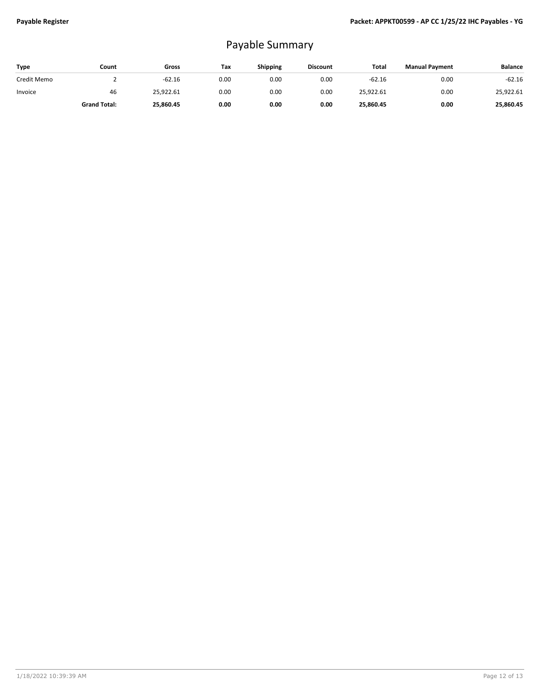## Payable Summary

| <b>Type</b> | Count               | Gross     | Tax  | Shipping | <b>Discount</b> | Total     | <b>Manual Payment</b> | <b>Balance</b> |
|-------------|---------------------|-----------|------|----------|-----------------|-----------|-----------------------|----------------|
| Credit Memo |                     | $-62.16$  | 0.00 | 0.00     | 0.00            | $-62.16$  | 0.00                  | $-62.16$       |
| Invoice     | 46                  | 25,922.61 | 0.00 | 0.00     | 0.00            | 25.922.61 | 0.00                  | 25,922.61      |
|             | <b>Grand Total:</b> | 25,860.45 | 0.00 | 0.00     | 0.00            | 25,860.45 | 0.00                  | 25,860.45      |